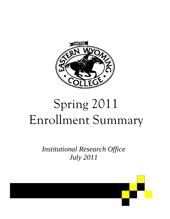

# Spring 2011 Enrollment Summary

*Institutional Research Office July 2011* 

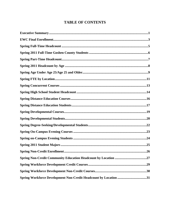# **TABLE OF CONTENTS**

| Spring Workforce Development Non-Credit Headcount by Location 31 |
|------------------------------------------------------------------|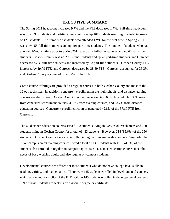#### **EXECUTIVE SUMMARY**

The Spring 2011 headcount increased 9.7% and the FTE decreased 1.7%. Full-time headcount was down 33 students and part-time headcount was up 161 students resulting in a total increase of 128 students. The number of students who attended EWC for the first time in Spring 2011 was down 55 full-time students and up 101 part-time students. The number of students who had attended EWC anytime prior to Spring 2011 was up 22 full-time students and up 60 part-time students. Goshen County was up 2 full-time students and up 78 part-time students, and Outreach decreased by 35 full-time students and increased by 83 part-time students. Goshen County FTE increased by 19.79 FTE, and Outreach decreased by 38.59 FTE. Outreach accounted for 35.3% and Goshen County accounted for 64.7% of the FTE.

Credit course offerings are provided as regular courses in both Goshen County and most of the 12 outreach sites. In addition, concurrent enrollment in the high schools, and distance learning courses are also offered. Goshen County courses generated 693.63 FTE of which 3.35% were from concurrent enrollment courses, 4.82% from evening courses, and 23.7% from distance education courses. Concurrent enrollment courses generated 42.8% of the 378.0 FTE from Outreach.

The 60 distance education courses served 183 students living in EWC's outreach areas and 250 students living in Goshen County for a total of 433 students. However, 214 (85.6%) of the 250 students in Goshen County were also enrolled in regular on-campus day courses. Similarly, the 19 on-campus credit evening courses served a total of 135 students with 101 (74.8%) of the students also enrolled in regular on-campus day courses. Distance education courses meet the needs of busy working adults and also regular on-campus students.

Developmental courses are offered for those students who do not have college level skills in reading, writing, and mathematics. There were 145 students enrolled in developmental courses, which accounted for 4.68% of the FTE. Of the 145 students enrolled in developmental courses, 109 of those students are seeking an associate degree or certificate.

1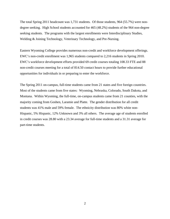The total Spring 2011 headcount was 1,731 students. Of those students, 964 (55.7%) were nondegree seeking. High School students accounted for 465 (48.2%) students of the 964 non-degree seeking students. The programs with the largest enrollments were Interdisciplinary Studies, Welding & Joining Technology, Veterinary Technology, and Pre-Nursing.

Eastern Wyoming College provides numerous non-credit and workforce development offerings. EWC's non-credit enrollment was 1,965 students compared to 2,216 students in Spring 2010. EWC's workforce development efforts provided 69 credit courses totaling 108.33 FTE and 88 non-credit courses meeting for a total of 814.50 contact hours to provide further educational opportunities for individuals in or preparing to enter the workforce.

The Spring 2011 on-campus, full-time students came from 21 states and five foreign countries. Most of the students came from five states: Wyoming, Nebraska, Colorado, South Dakota, and Montana. Within Wyoming, the full-time, on-campus students came from 21 counties, with the majority coming from Goshen, Laramie and Platte. The gender distribution for all credit students was 41% male and 59% female. The ethnicity distribution was 80% white non-Hispanic, 5% Hispanic, 12% Unknown and 3% all others. The average age of students enrolled in credit courses was 28.80 with a 23.34 average for full-time students and a 31.31 average for part-time students.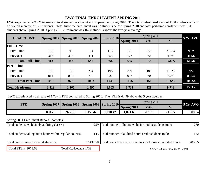# **EWC FINAL ENROLLMENT SPRING 2011**

EWC experienced a 9.7% increase in total student headcount as compared to Spring 2010. The total student headcount of 1731 students reflects an overall increase of 128 students. Total full-time enrollment was 33 students below Spring 2010 and total part-time enrollment was 161 students above Spring 2010. Spring 2011 enrollment was 167.8 students above the five-year average.

| <b>HEADCOUNT</b>       |                    |                    | <b>Spring 2009</b> |                             |             | Spring 2011 |               | <b>5 Yr. AVG</b> |  |
|------------------------|--------------------|--------------------|--------------------|-----------------------------|-------------|-------------|---------------|------------------|--|
|                        | <b>Spring 2007</b> | <b>Spring 2008</b> |                    | $\vert$ Spring 2010 $\vert$ | Spring 2011 | <b>VAR</b>  | $\frac{0}{0}$ |                  |  |
| <b>Full</b> - Time     |                    |                    |                    |                             |             |             |               |                  |  |
| <b>First Time</b>      | 106                | 90                 | 114                | 113                         | 58          | $-55$       | $-48.7%$      | 96.2             |  |
| Previous               | 312                | 398                | 431                | 455                         | 477         | 22          | 4.8%          | 414.6            |  |
| <b>Total Full Time</b> | 418                | 488                | 545                | 568                         | 535         | $-33$       | $-5.8%$       | 510.8            |  |
| <b>Part</b> - Time     |                    |                    |                    |                             |             |             |               |                  |  |
| <b>First Time</b>      | 190                | 169                | 254                | 198                         | 299         | 101         | 51.0%         | 222              |  |
| Previous               | 811                | 809                | 798                | 837                         | 897         | 60          | 7.2%          | 830.4            |  |
| <b>Total Part Time</b> | 1001               | 978                | 1052               | 1035                        | 1196        | 161         | 15.6%         | 1052.4           |  |
| <b>Total Headcount</b> | 1,419              | 1,466              | 1,597              | 1,603                       | 1,731       | 128         | 9.7%          | 1563.2           |  |

EWC experienced a decrease of 1.7% in FTE compared to Spring 2010. The FTE is 62.99 above the 5 year average.

| <b>FTE</b> |        | Spring 2007 Spring 2008 Spring 2009 Spring 2010 |          |          |             | <b>5 Yr. AVG</b> |               |         |
|------------|--------|-------------------------------------------------|----------|----------|-------------|------------------|---------------|---------|
|            |        |                                                 |          |          | Spring 2011 | <b>VAR</b>       | $\frac{0}{0}$ |         |
|            | 850.25 | 975.50                                          | 1,055.42 | 1,090.42 | 1,071.63    | $-18.79$         | $-1.7%$       | .008.64 |

Spring 2011 Enrollment Report Footnotes:

| Total students exclusively auditing classes:              |                         | 259 Total number of hours exclusive audits students took:                | 270     |
|-----------------------------------------------------------|-------------------------|--------------------------------------------------------------------------|---------|
| Total students taking audit hours within regular courses: |                         | 143 Total number of audited hours credit students took:                  | 152     |
| Total credits taken by credit students:                   |                         | 12,437.50 Total hours taken by all students including all audited hours: | 12859.5 |
| Total FTE is 1071.63                                      | Total Headcount is 1731 | Source: WCCC Enrollment Report                                           |         |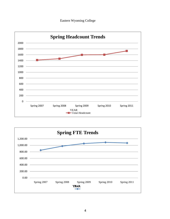



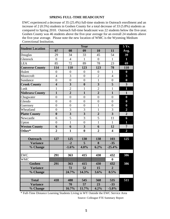#### **SPRING FULL-TIME HEADCOUNT**

EWC experienced a decrease of 35 (25.4%) full-time students in Outreach enrollment and an increase of 2 (0.5%) students in Goshen County for a total decrease of 33 (5.8%) students as compared to Spring 2010. Outreach full-time headcount was 22 students below the five-year. Goshen County was 46 students above the five-year average for an overall 24 students above the five-year average. Please note the new location of WMC is the Wyoming Medium Correctional Institution.

|                         |                         |                         | Year                    |                  |                         | 5 Yr.                   |
|-------------------------|-------------------------|-------------------------|-------------------------|------------------|-------------------------|-------------------------|
| <b>Student Location</b> | 07                      | 08                      | 09                      | 10               | 11                      | Avg.                    |
| Douglas                 | 29                      | 34                      | 33                      | 45               | 54                      | 39                      |
| Glenrock                | $\overline{0}$          | $\overline{4}$          | $\mathbf{1}$            | $\overline{0}$   | $\mathbf{1}$            | $\mathbf{1}$            |
| <b>LEA</b>              | 85                      | 72                      | 89                      | 78               | 23                      | 69                      |
| <b>Converse County</b>  | 114                     | 110                     | 123                     | 123              | 78                      | 110                     |
| Hulett                  | $\overline{0}$          | $\overline{0}$          | $\overline{0}$          | $\overline{0}$   | $\mathbf{1}$            | $\boldsymbol{0}$        |
| Moorcroft               | $\overline{4}$          | 3                       | $\overline{0}$          | $\overline{2}$   | $\overline{4}$          | $\overline{\mathbf{3}}$ |
| Sundance                | $\overline{0}$          | $\overline{0}$          | $\overline{0}$          | $\mathbf{1}$     | $\overline{0}$          | $\boldsymbol{0}$        |
| <b>Crook County</b>     | $\overline{\mathbf{4}}$ | $\overline{\mathbf{3}}$ | $\bf{0}$                | 3                | $\overline{\mathbf{5}}$ | $\overline{\mathbf{3}}$ |
| Lusk                    | $\mathbf{1}$            | $\overline{2}$          | $\mathbf{1}$            | $\overline{2}$   | $\mathbf{1}$            | $\mathbf{1}$            |
| <b>Niobrara County</b>  | $\mathbf{1}$            | $\overline{2}$          | $\mathbf{1}$            | $\overline{2}$   | $\mathbf{1}$            | $\mathbf{1}$            |
| Chugwater               | $\overline{0}$          | $\overline{0}$          | $\overline{0}$          | $\boldsymbol{0}$ | $\overline{0}$          | $\boldsymbol{0}$        |
| Glendo                  | $\overline{0}$          | $\overline{0}$          | $\overline{0}$          | $\overline{0}$   | $\overline{0}$          | $\boldsymbol{0}$        |
| Guernsey                | $\overline{0}$          | $\overline{0}$          | $\overline{0}$          | $\mathbf{1}$     | $\overline{0}$          | $\boldsymbol{0}$        |
| Wheatland               | $\boldsymbol{0}$        | 3                       | 3                       | $\mathbf{1}$     | 3                       | $\overline{2}$          |
| <b>Platte County</b>    | $\boldsymbol{0}$        | $\overline{\mathbf{3}}$ | $\overline{\mathbf{3}}$ | $\overline{2}$   | $\overline{\mathbf{3}}$ | $\overline{2}$          |
| Newcastle               | 6                       | 5                       | 3                       | 5                | 11                      | 6                       |
| Upton                   | $\overline{0}$          | $\mathbf{1}$            | $\overline{0}$          | $\mathbf{1}$     | $\mathbf{1}$            | 1                       |
| <b>Weston County</b>    | 6                       | 6                       | $\overline{\mathbf{3}}$ | 6                | 12                      | $\overline{7}$          |
| Other*                  | $\overline{2}$          | $\mathbf{1}$            | $\boldsymbol{0}$        | $\overline{2}$   | $\overline{\mathbf{4}}$ | $\overline{2}$          |
|                         |                         |                         |                         |                  |                         |                         |
| <b>Outreach</b>         | 127                     | 125                     | 130                     | 138              | 103                     | 125                     |
| <b>Variance</b>         |                         | $-2$                    | 5 <sup>5</sup>          | 8                | $-35$                   |                         |
| % Change                |                         | $-1.6%$                 | 4.0%                    | 6.2%             | $-25.4%$                |                         |
|                         |                         |                         |                         |                  |                         |                         |
| <b>EWC</b>              | 291                     | 363                     | 415                     | 430              | 432                     | 386                     |
| <b>WMC</b>              |                         |                         |                         |                  | $\bf{0}$                |                         |
| <b>Goshen</b>           | 291                     | 363                     | 415                     | 430              | 432                     | 386                     |
| <b>Variance</b>         |                         | 72                      | 52                      | 15               | $\overline{2}$          |                         |
| % Change                |                         | 24.7%                   | 14.3%                   | 3.6%             | 0.5%                    |                         |
|                         |                         |                         |                         |                  |                         |                         |
| <b>Total</b>            | 418                     | 488                     | 545                     | 568              | 535                     | 511                     |
| <b>Variance</b>         |                         | 70                      | 57                      | 23               | $-33$                   |                         |
| % Change                |                         | 16.7%                   | 11.7%                   | 4.2%             | $-5.8\%$                |                         |

\* Full-Time Distance Learning Students Living in WY Outside the EWC Service Area

Source: Colleague FTE Summary Report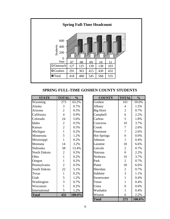

## **SPRING FULL-TIME GOSHEN COUNTY STUDENTS**

| <b>STATE</b>  | <b>TOTAL</b>   | $\frac{0}{0}$ | <b>COUNTY</b>      | <b>TOTAL</b>   | $\frac{0}{0}$ |
|---------------|----------------|---------------|--------------------|----------------|---------------|
| Wyoming       | 273            | 63.2%         | Goshen             | 161            | 59.0%         |
| Alaska        | 3              | 0.7%          | Albany             | $\overline{4}$ | 1.5%          |
| Arizona       | $\overline{2}$ | 0.5%          | Big Horn           | $\overline{2}$ | 0.7%          |
| California    | $\overline{4}$ | 0.9%          | Campbell           | 6              | 2.2%          |
| Colorado      | 24             | 5.6%          | Carbon             | 5              | 1.8%          |
| Idaho         | $\overline{2}$ | 0.5%          | Converse           | 10             | 3.7%          |
| Kansas        | $\overline{2}$ | 0.5%          | Crook              | 7              | 2.6%          |
| Michigan      | 1              | 0.2%          | Freemont           | 7              | 2.6%          |
| Minnesota     | 5              | 1.2%          | <b>Hot Springs</b> | $\overline{0}$ | 0.0%          |
| Mississippi   |                | 0.2%          | Johnson            | $\mathbf{1}$   | 0.4%          |
| Montana       | 14             | 3.2%          | Laramie            | 18             | 6.6%          |
| Nebraska      | 58             | 13.4%         | Lincoln            | $\overline{2}$ | 0.7%          |
| North Dakota  | $\overline{2}$ | 0.5%          | Natrona            | 6              | 2.2%          |
| Ohio          | 1              | 0.2%          | Niobrara           | 10             | 3.7%          |
| Oregon        | 1              | 0.2%          | Park               | $\overline{2}$ | 0.7%          |
| Pennsylvania  | $\overline{2}$ | 0.5%          | Platte             | 18             | 6.6%          |
| South Dakota  | 22             | 5.1%          | Sheridan           | $\overline{2}$ | 0.7%          |
| Texas         | 1              | 0.2%          | Sublette           | 3              | 1.1%          |
| Utah          | 5              | 1.2%          | Sweetwater         | $\mathbf{1}$   | 0.4%          |
| Washington    | 3              | 0.7%          | Teton              | $\mathbf{1}$   | 0.4%          |
| Wisconsin     | 1              | 0.2%          | Uinta              | $\overline{0}$ | 0.0%          |
| International | 5              | 1.2%          | Washakie           | 1              | 0.4%          |
| <b>Total</b>  | 432            | 100.0%        | Weston             | 6              | 2.2%          |
|               |                |               | <b>Total</b>       | 273            | 100.0%        |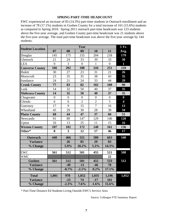#### **SPRING PART-TIME HEADCOUNT**

EWC experienced an increase of 83 (14.3%) part-time students in Outreach enrollment and an increase of 78 (17.1%) students in Goshen County for a total increase of 161 (15.6%) students as compared to Spring 2010. Spring 2011 outreach part-time headcount was 123 students above the five-year average, and Goshen County part-time headcount was 21 students above the five-year average. The total part-time headcount was above the five-year average by 144 students.

| <b>Student Location</b> |                |                         | Year           |                |                | 5 Yr.        |
|-------------------------|----------------|-------------------------|----------------|----------------|----------------|--------------|
|                         | 07             | 08                      | 09             | 10             | 11             | Avg.         |
| Douglas                 | 145            | 175                     | 155            | 204            | 218            | 179          |
| Glenrock                | 21             | 24                      | 33             | 39             | 33             | 30           |
| <b>LEA</b>              | $\overline{0}$ | $\overline{3}$          | $\overline{0}$ | $\mathbf{1}$   | $\overline{0}$ | $\mathbf{1}$ |
| <b>Converse County</b>  | 166            | 202                     | 188            | 244            | 251            | 210          |
| Hulett                  | 30             | 27                      | 23             | 31             | 21             | 26           |
| Moorcroft               | 23             | 35                      | 35             | 38             | 43             | 35           |
| Sundance                | 24             | 21                      | 24             | 33             | 44             | 29           |
| <b>Crook County</b>     | 77             | 83                      | 82             | 102            | 108            | 90           |
| Lusk                    | 14             | 32                      | 50             | 40             | 37             | 35           |
| <b>Niobrara County</b>  | 14             | 32                      | 50             | 40             | 37             | 35           |
| Chugwater               | $\overline{0}$ | $\overline{0}$          | $\overline{0}$ | $\overline{0}$ | $\overline{0}$ | $\bf{0}$     |
| Glendo                  | 6              | 6                       | $\overline{2}$ | $\overline{2}$ | $\overline{5}$ | 4            |
| Guernsey                | 17             | 9                       | 15             | $\overline{7}$ | 16             | 13           |
| Wheatland               | 45             | 29                      | 30             | 28             | 39             | 34           |
| <b>Platte County</b>    | 68             | 44                      | 47             | 37             | 60             | 51           |
| Newcastle               | 91             | 89                      | 147            | 129            | 146            | 120          |
| Upton                   | 16             | 13                      | 25             | 11             | 15             | 16           |
| <b>Weston County</b>    | 107            | 102                     | 172            | 140            | 161            | 136          |
| Other*                  | 8              | $\overline{\mathbf{3}}$ | 12             | 17             | 46             | 17           |
| <b>Outreach</b>         | 440            | 466                     | 551            | 580            | 663            | 540          |
| <b>Variance</b>         |                | 26                      | 85             | 29             | 83             |              |
| % Change                |                | 5.9%                    | 18.2%          | 5.3%           | 14.3%          |              |
| <b>EWC</b>              | 561            | 512                     | 501            | 455            | 511            | 508          |
| <b>WMC</b>              |                |                         |                |                | 22             |              |
| <b>Goshen</b>           | 561            | 512                     | 501            | 455            | 533            | 512          |
| <b>Variance</b>         |                | $-49$                   | $-11$          | $-46$          | 78             |              |
| % Change                |                | $-8.7%$                 | $-2.1%$        | $-9.2%$        | 17.1%          |              |
| <b>Total</b>            | 1,001          | 978                     | 1,052          | 1,035          | 1,196          | 1,052        |
| <b>Variance</b>         |                | $-23$                   | 74             | $-17$          | 161            |              |
| % Change                |                | $-2.3%$                 | 7.6%           | $-1.6%$        | 15.6%          |              |

\* Part-Time Distance Ed Students Living Outside EWC's Service Area

Source: Colleague FTE Summary Report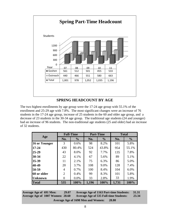

## **SPRING HEADCOUNT BY AGE**

The two highest enrollments by age group were the 17-24 age group with 55.1% of the enrollment and 25-29 age with 7.8%. The most significant changes were an increase of 76 students in the 17-24 age group, increase of 25 students in the 60 and older age group, and a decrease of 23 students in the 30-34 age group. The traditional age students (24 and younger) had an increase of 96 students. The non-traditional age students (25 and older) had an increase of 32 students.

|                |     | <b>Full-Time</b> |       | <b>Part-Time</b> |       | <b>Total</b>  |
|----------------|-----|------------------|-------|------------------|-------|---------------|
| Age            | No. | $\frac{0}{0}$    | No.   | $\frac{0}{0}$    | No.   | $\frac{6}{6}$ |
| 16 or Younger  | 3   | 0.6%             | 98    | 8.2%             | 101   | 5.8%          |
| 17-24          | 430 | 80.4%            | 524   | 43.8%            | 954   | 55.1%         |
| 25-29          | 43  | 8.0%             | 92    | 7.7%             | 135   | 7.8%          |
| $30 - 34$      | 22  | 4.1%             | 67    | 5.6%             | 89    | 5.1%          |
| $35 - 39$      | 11  | 2.1%             | 75    | 6.3%             | 86    | 5.0%          |
| 40-49          | 20  | 3.7%             | 108   | 9.0%             | 128   | 7.4%          |
| 50-59          | 4   | 0.7%             | 100   | 8.4%             | 104   | 6.0%          |
| 60 or older    | 2   | 0.4%             | 99    | 8.3%             | 101   | 5.8%          |
| <b>Unknown</b> | 0   | 0.0%             | 33    | 2.8%             | 33    | 1.9%          |
| <b>Total</b>   | 535 | 100%             | 1,196 | 100%             | 1,731 | 100%          |

**Average Age of 691 Men: 29.07 Average Age of 1007 Women: 28.60 Average Age of 1163 Part-time Students: 31.31 Average Age of 535 Full-time Students: 23.34 Average Age of 1698 Men and Women: 28.80**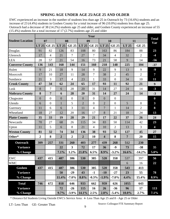## **SPRING AGE UNDER AGE 25/AGE 25 AND OLDER**

EWC experienced an increase in the number of students less than age 25 in Outreach by 73 (16.6%) students and an increase of 23 (4.4%) students in Goshen County for a total increase of 96 (10.0%) students less than age 25. Outreach had a decrease of 38 (14.2%) students age 25 and older, and Goshen County experienced an increase of 55 (15.4%) students for a total increase of 17 (2.7%) students age 25 and older

|                         |                |                  |                |                  |                | Year             |                         |                  |                |                |                         |
|-------------------------|----------------|------------------|----------------|------------------|----------------|------------------|-------------------------|------------------|----------------|----------------|-------------------------|
| <b>Student Location</b> |                | 07               |                | 08               |                | 09               |                         | 10               |                | 11             | <b>Total</b><br>Var     |
|                         | LT 25          | <b>GE 25</b>     | LT 25          | <b>GE 25</b>     | LT 25          | <b>GE 25</b>     | LT 25                   | <b>GE 25</b>     | LT 25          | <b>GE 25</b>   |                         |
| Douglas                 | 91             | 82               | 126            | 83               | 108            | 80               | 163                     | 86               | 184            | 88             | 23                      |
| Glenrock                | 17             | $\overline{4}$   | 21             | $\overline{7}$   | 27             | $\overline{7}$   | 34                      | $\overline{4}$   | 32             | $\overline{2}$ | $-4$                    |
| <b>LEA</b>              | 28             | 57               | 21             | 54               | 16             | 73               | 21                      | 58               | 9              | 14             | $-56$                   |
| <b>Converse County</b>  | 136            | 143              | 168            | 144              | 151            | 160              | 218                     | 148              | 225            | 104            | $-37$                   |
| Hulett                  | 9              | 21               | 18             | 9                | 14             | 9                | 22                      | 9                | 13             | 9              | $-9$                    |
| Moorcroft               | 17             | 10               | 27             | 11               | 28             | 7                | 38                      | $\overline{2}$   | 45             | $\overline{2}$ | $\overline{7}$          |
| Sundance                | 21             | $\overline{3}$   | 17             | $\overline{4}$   | 23             | 1                | 33                      | $\overline{0}$   | 34             | 10             | 11                      |
| <b>Crook County</b>     | 47             | 34               | 62             | 24               | 65             | 17               | 93                      | 11               | 92             | 21             | $\boldsymbol{9}$        |
| Lusk                    | 8              | 7                | 6              | 28               | 20             | 31               | 14                      | 27               | 24             | 14             | $-3$                    |
| <b>Niobrara County</b>  | 8              | $\overline{7}$   | 6              | 28               | 20             | 31               | 14                      | 27               | 24             | 14             | $-3$                    |
| Chugwater               | $\overline{0}$ | $\boldsymbol{0}$ | $\overline{0}$ | $\boldsymbol{0}$ | $\overline{0}$ | $\mathbf{0}$     | $\overline{0}$          | $\boldsymbol{0}$ |                |                | $\boldsymbol{0}$        |
| Glendo                  | 6              | $\mathbf{0}$     | $\mathbf{1}$   | 5                | $\overline{2}$ | $\boldsymbol{0}$ | $\overline{2}$          | $\overline{0}$   | 5              | $\overline{0}$ | $\mathbf{3}$            |
| Guernsey                | 11             | 6                | 6              | 3                | 11             | 4                | $\overline{7}$          | $\mathbf{1}$     | 14             | $\overline{2}$ | 8                       |
| Wheatland               | 18             | 27               | 12             | 20               | 16             | 17               | 8                       | 21               | 18             | 24             | 13                      |
| <b>Platte County</b>    | 35             | 33               | 19             | 28               | 29             | 21               | 17                      | 22               | 37             | 26             | 24                      |
| Newcastle               | 70             | 27               | 68             | 26               | 115            | 34               | 83                      | 50               | 114            | 42             | 23                      |
| Upton                   | 11             | 5                | 6              | 8                | 21             | $\overline{4}$   | 10                      | $\overline{2}$   | 13             | 3              | $\overline{\mathbf{4}}$ |
| <b>Weston County</b>    | 81             | 32               | 74             | 34               | 136            | 38               | 93                      | 52               | 127            | 45             | 27                      |
| Other*                  | $\overline{2}$ | 8                | $\overline{2}$ | $\overline{2}$   | $\overline{2}$ | 10               | $\overline{\mathbf{4}}$ | 8                | $\overline{7}$ | 20             | 15                      |
| Outreach                | 309            | 257              | 331            | 260              | 403            | 277              | 439                     | 268              | 512            | 230            |                         |
| <b>Variance</b>         |                |                  | 22             | 3                | 72             | 17               | 36                      | $-9$             | 73             | $-38$          | 35                      |
| $\%$ Change             |                |                  | 7.1%           | 1.2%             | 21.8%          | 6.5%             | 8.9%                    | $-3.2%$          | 16.6%          | $-14.2%$       | 5.0%                    |
| <b>EWC</b>              | 437            | 415              | 487            | 386              | 530            | 385              | 520                     | 358              | 537            | 397            | 56                      |
| <b>WMC</b>              |                |                  |                |                  |                |                  |                         |                  | 6              | 16             | 22                      |
| <b>Goshen</b>           | 437            | 415              | 487            | 386              | 530            | 385              | 520                     | 358              | 543            | 413            |                         |
| <b>Variance</b>         |                |                  | 50             | $-29$            | 43             | $-1$             | $-10$                   | $-27$            | 23             | 55             | 78                      |
| % Change                |                |                  | 11.4%          | $-7.0%$          | 8.8%           | $-0.3%$          | $-1.9%$                 | $-7.0\%$         | 4.4%           | 15.4%          | 8.9%                    |
| <b>Total</b>            | 746            | 672              | 818            | 646              | 933            | 662              | 959                     | 626              | 1055           | 643            |                         |
| <b>Variance</b>         |                |                  | 72             | $-26$            | 115            | 16               | 26                      | $-36$            | 96             | 17             | 113                     |
| % Change                |                |                  | 9.7%           | $-3.9\%$         | 14.1%          | 2.5%             | 2.8%                    | $-5.4%$          | $10.0\%$       | 2.7%           | 7.1%                    |

\* Distance Ed Students Living Outside EWC's Service Area: 4- Less Than Age 25 and 8 - Age 25 or Older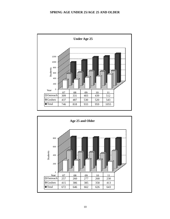#### **SPRING AGE UNDER 25/AGE 25 AND OLDER**



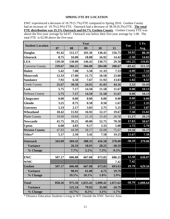#### **SPRING FTE BY LOCATION**

EWC experienced a decrease of 18.79 (1.7%) FTE compared to Spring 2010. Goshen County had an increase of 19.79 (2.9%) FTE. Outreach had a decrease of 38.59 (9.3%) FTE. **The total**  had an increase of 19.79 (2.9%) FTE. Outreach had a decrease of 38.59 (9.3%) FTE.**The total FTE distribution was 35.3% Outreach and 64.7% Goshen County**. Goshen County FTE was above the five-year average by 64.07. Outreach was below their five-year average by 1.08. The total FTE is 62.98 above the five-year.

| <b>Student Location</b>                                                 |        |        | Year     |          |          | Var               | 5 Yr.    |
|-------------------------------------------------------------------------|--------|--------|----------|----------|----------|-------------------|----------|
|                                                                         | 07     | 08     | 09       | 10       | 11       |                   | Avg.     |
| <b>Douglas</b>                                                          | 91.42  | 112.17 | 101.50   | 136.42   | 156.75   | 34.92             | 88.30    |
| <b>Glenrock</b>                                                         | 8.75   | 16.00  | 18.08    | 16.92    | 14.42    | $-2.50$           | 14.83    |
| <b>LEA</b>                                                              | 139.50 | 138.08 | 146.42   | 130.75   | 29.50    | $-101.25$         | 116.85   |
| <b>Converse County</b>                                                  | 239.67 | 266.25 | 266.00   | 284.08   | 200.67   | $-83.42$          | 251.33   |
| <b>Hulett</b>                                                           | 5.42   | 7.08   | 5.50     | 11.33    | 7.33     | $-4.00$           | 7.33     |
| <b>Moorcroft</b>                                                        | 12.33  | 17.00  | 11.75    | 18.58    | 23.00    | 4.42              | 16.53    |
| <b>Sundance</b>                                                         | 7.92   | 6.50   | 7.67     | 11.92    | 13.83    | $\overline{1.92}$ | 9.57     |
| <b>Crook County</b>                                                     | 25.67  | 30.58  | 24.92    | 41.83    | 44.16    | 2.33              | 33.43    |
| Lusk                                                                    | 5.75   | 7.17   | 14.50    | 11.58    | 11.67    | 0.08              | 10.13    |
| Nobrara County                                                          | 5.75   | 7.17   | 14.50    | 11.58    | 11.67    | 0.08              | 10.13    |
| <b>Chugwater</b>                                                        | 0.00   | 0.00   | 0.00     | 0.00     | 0.00     | 0.00              | 0.00     |
| <b>Glendo</b>                                                           | 3.25   | 0.75   | 0.58     | 0.50     | 1.67     | 1.17              | 1.35     |
| <b>Guernsey</b>                                                         | 5.33   | 2.17   | 3.83     | 2.75     | 5.25     | 2.50              | 3.87     |
| Wheatland                                                               | 10.42  | 15.92  | 16.92    | 12.17    | 19.67    | 7.50              | 15.02    |
| <b>Platte County</b>                                                    | 19.00  | 18.84  | 21.33    | 15.42    | 26.58    | 11.17             | 20.23    |
| <b>Newcastle</b>                                                        | 41.75  | 39.25  | 49.00    | 52.75    | 70.58    | 17.83             | 50.67    |
| <b>Upton</b>                                                            | 6.08   | 4.83   | 9.17     | 3.33     | 5.08     | 1.75              | 5.70     |
| <b>Weston County</b>                                                    | 47.83  | 44.08  | 58.17    | 56.08    | 75.67    | 19.58             | 56.37    |
| Other*                                                                  | 5.17   | 2.50   | 3.42     | 7.58     | 19.25    | 11.67             | 7.58     |
| <b>Outreach</b>                                                         | 343.09 | 369.42 | 388.33   | 416.58   | 378.00   | $-38.59$          | 379.08   |
| <b>Variance</b>                                                         |        | 26.33  | 18.91    | 28.25    | $-38.59$ |                   |          |
| % Change                                                                |        | 7.7%   | 5.1%     | 7.3%     | $-9.3%$  |                   |          |
| <b>EWC</b>                                                              | 507.17 | 606.08 | 667.08   | 673.83   | 686.21   | 12.38             | 628.07   |
| <b>WMC</b>                                                              |        |        |          |          | 7.42     | 7.42              |          |
| <b>Goshen</b>                                                           | 507.17 | 606.08 | 667.08   | 673.83   | 693.63   | 19.79             | 629.56   |
| <b>Variance</b>                                                         |        | 98.91  | 61.00    | 6.75     | 19.79    |                   |          |
| % Change                                                                |        | 19.5%  | 10.1%    | 1.0%     | 2.9%     |                   |          |
| <b>Total</b>                                                            | 850.26 | 975.50 | 1,055.42 | 1,090.42 | 1,071.62 | $-18.79$          | 1,008.64 |
| <b>Variance</b>                                                         |        | 125.24 | 79.92    | 35.00    | $-18.79$ |                   |          |
| % Change                                                                |        | 14.7%  | 8.2%     | 3.3%     | $-1.7%$  |                   |          |
| * Distance Education Students Living in WY Outside the EWC Service Area |        |        |          |          |          |                   |          |
|                                                                         |        |        |          |          |          |                   |          |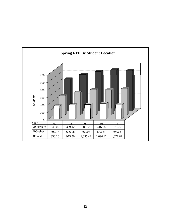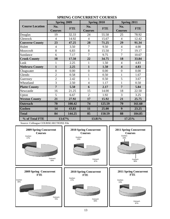|                        | Spring 2009           |            | Spring 2010           |            | Spring 2011             |            |
|------------------------|-----------------------|------------|-----------------------|------------|-------------------------|------------|
| <b>Course Location</b> | No.<br><b>Courses</b> | <b>FTE</b> | No.<br><b>Courses</b> | <b>FTE</b> | No.<br><b>Courses</b>   | <b>FTE</b> |
| Douglas                | 19                    | 32.33      | 24                    | 55.58      | 25                      | 78.92      |
| Glenrock               | $\overline{4}$        | 14.92      | $\overline{4}$        | 15.67      | $\overline{4}$          | 12.42      |
| <b>Converse County</b> | 23                    | 47.25      | 28                    | 71.25      | 29                      | 91.34      |
| Hulett                 | $\overline{4}$        | 3.50       | 7                     | 9.50       | $\overline{4}$          | 4.00       |
| Moorcroft              | 8                     | 6.83       | 8                     | 15.50      | 7                       | 19.17      |
| Sundance               | 6                     | 7.17       | $\overline{7}$        | 9.75       | $\overline{7}$          | 10.67      |
| <b>Crook County</b>    | 18                    | 17.50      | 22                    | 34.75      | 18                      | 33.84      |
| Lusk                   | $\mathbf{1}$          | 2.25       | $\mathbf{1}$          | 1.50       | $\overline{4}$          | 4.83       |
| <b>Niobrara County</b> | $\mathbf{1}$          | 2.25       | $\mathbf{1}$          | 1.50       | $\overline{\mathbf{4}}$ | 4.83       |
| Chugwater              | $\overline{0}$        | 0.00       | $\overline{0}$        | 0.00       | $\overline{0}$          | 0.00       |
| Glendo                 | $\overline{2}$        | 0.58       | $\mathbf{1}$          | 0.50       | 1                       | 1.67       |
| Guernsey               | $\overline{2}$        | 2.42       | $\mathbf{1}$          | 0.50       | 5                       | 3.67       |
| Wheatland              | 3                     | 2.50       | $\overline{4}$        | 1.17       | 1                       | 0.50       |
| <b>Platte County</b>   | $\overline{7}$        | 5.50       | 6                     | 2.17       | $\overline{7}$          | 5.84       |
| Newcastle              | 16                    | 21.25      | 15                    | 14.00      | 18                      | 22.50      |
| Upton                  | 5                     | 6.67       | $\overline{2}$        | 1.92       | 3                       | 3.25       |
| <b>Weston County</b>   | 21                    | 27.92      | 17                    | 15.92      | 21                      | 25.75      |
| <b>Outreach</b>        | 70                    | 100.42     | 74                    | 125.59     | 79                      | 161.60     |
| <b>Goshen</b>          | 14                    | 43.83      | 11                    | 25.00      | 9                       | 23.25      |
| <b>Total</b>           | 84                    | 144.25     | 85                    | 150.59     | 88                      | 184.85     |
| % of Total FTE         | 13.67%                |            | 13.81%                |            | 17.25%                  |            |

## **SPRING CONCURRENT COURSES**

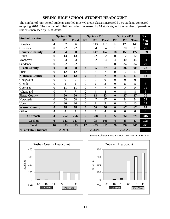#### **SPRING HIGH SCHOOL STUDENT HEADCOUNT**

The number of high school students enrolled in EWC credit classes increased by 50 students compared to Spring 2010. The number of full-time students increased by 14 students, and the number of part-time students increased by 36 students.

|                         |                         | <b>Spring 2009</b> |                |                  | Spring 2010    |                  |                         | <b>Spring 2011</b> |                | 3 Yr.            |
|-------------------------|-------------------------|--------------------|----------------|------------------|----------------|------------------|-------------------------|--------------------|----------------|------------------|
| <b>Student Location</b> | <b>FT</b>               | <b>PT</b>          | <b>Total</b>   | <b>FT</b>        | PT             | <b>Total</b>     | <b>FT</b>               | <b>PT</b>          | <b>Total</b>   | Avg.             |
| Douglas                 | $\overline{4}$          | 62                 | 66             | 5                | 113            | 118              | 17                      | 129                | 146            | 110              |
| Glenrock                | $\overline{0}$          | 22                 | 22             | $\boldsymbol{0}$ | 34             | 34               | $\mathbf{1}$            | 30                 | 31             | 29               |
| <b>Converse County</b>  | $\overline{\mathbf{4}}$ | 84                 | 88             | 5                | 147            | 152              | 18                      | 159                | 177            | 139              |
| Hulett                  | $\overline{0}$          | 13                 | 13             | $\overline{0}$   | 22             | 22               | $\overline{0}$          | 12                 | 12             | 16               |
| Moorcroft               | $\overline{0}$          | 23                 | 23             | $\overline{2}$   | 32             | 34               | $\overline{4}$          | 40                 | 44             | 34               |
| Sundance                | $\mathbf{0}$            | 22                 | 22             | $\overline{0}$   | 31             | 31               | $\overline{0}$          | 34                 | 34             | 29               |
| <b>Crook County</b>     | $\bf{0}$                | 58                 | 58             | $\overline{2}$   | 85             | 87               | 4                       | 86                 | 90             | 78               |
| Lusk                    | $\overline{0}$          | 12                 | 12             | $\overline{0}$   | $\overline{7}$ | $\overline{7}$   | $\overline{0}$          | 17                 | 17             | 12               |
| <b>Niobrara County</b>  | $\bf{0}$                | 12                 | 12             | $\bf{0}$         | $\overline{7}$ | $\overline{7}$   | $\bf{0}$                | 17                 | 17             | 12               |
| Chugwater               | $\overline{0}$          | $\overline{0}$     | $\overline{0}$ | $\overline{0}$   | $\overline{0}$ | $\overline{0}$   | $\overline{0}$          | $\overline{0}$     | $\overline{0}$ | $\overline{0}$   |
| Glendo                  | $\overline{0}$          | $\overline{2}$     | $\overline{2}$ | $\boldsymbol{0}$ | $\overline{2}$ | $\overline{2}$   | $\overline{0}$          | 5                  | 5              | 3                |
| Guernsey                | $\overline{0}$          | 11                 | 11             | $\boldsymbol{0}$ | $\overline{7}$ | $\overline{7}$   | $\overline{0}$          | 14                 | 14             | 11               |
| Wheatland               | $\overline{0}$          | $\overline{7}$     | $\overline{7}$ | $\boldsymbol{0}$ | $\overline{4}$ | $\overline{4}$   | $\overline{0}$          | 8                  | 8              | 6                |
| <b>Platte County</b>    | $\bf{0}$                | 20                 | 20             | $\bf{0}$         | 13             | 13               | $\bf{0}$                | 27                 | 27             | 20               |
| Newcastle               | $\overline{0}$          | 58                 | 58             | $\overline{0}$   | 47             | 47               | $\overline{0}$          | 54                 | 54             | 53               |
| Upton                   | $\overline{0}$          | 20                 | 20             | $\overline{0}$   | 9              | 9                | $\overline{0}$          | 13                 | 13             | 14               |
| <b>Weston County</b>    | $\bf{0}$                | 78                 | 78             | $\boldsymbol{0}$ | 56             | 56               | $\bf{0}$                | 67                 | 67             | 67               |
| <b>Other</b>            | $\bf{0}$                | $\bf{0}$           | $\bf{0}$       | $\bf{0}$         | $\bf{0}$       | $\boldsymbol{0}$ | $\boldsymbol{0}$        | $\bf{0}$           | $\bf{0}$       | $\boldsymbol{0}$ |
| Outreach                | $\overline{\mathbf{4}}$ | 252                | 256            | $\overline{7}$   | 308            | 315              | 22                      | 356                | 378            | 316              |
| Goshen                  | 6                       | 121                | 127            | 5                | 95             | <b>100</b>       | $\overline{\mathbf{4}}$ | 83                 | 87             | 105              |
| <b>Total</b>            | 10                      | 373                | 383            | 12               | 403            | 415              | 26                      | 439                | 465            | 421              |
| % of Total Students     |                         | 23.98%             |                |                  | 25.89%         |                  |                         | 26.86%             |                |                  |





Source: Colleague W73.ENROLL.DETAIL.FINAL File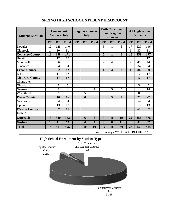| <b>Student Location</b> | <b>Concurrent</b><br><b>Courses Only</b> |           | <b>Regular Courses</b><br>Only |           |                         | <b>Both Concurrent</b><br>and Regular<br><b>Courses</b> |                         |                         | <b>All High School</b><br><b>Students</b> |                         |           |              |
|-------------------------|------------------------------------------|-----------|--------------------------------|-----------|-------------------------|---------------------------------------------------------|-------------------------|-------------------------|-------------------------------------------|-------------------------|-----------|--------------|
|                         | <b>FT</b>                                | <b>PT</b> | <b>Total</b>                   | <b>FT</b> | <b>PT</b>               | <b>Total</b>                                            | <b>FT</b>               | <b>PT</b>               | <b>Total</b>                              | <b>FT</b>               | <b>PT</b> | <b>Total</b> |
| Douglas                 | 12                                       | 128       | 140                            |           |                         |                                                         | 5                       | 1                       | 6                                         | 17                      | 129       | 146          |
| Glenrock                | $\mathbf{1}$                             | 30        | 31                             |           |                         |                                                         |                         |                         |                                           | 1                       | 30        | 31           |
| <b>Converse County</b>  | 13                                       | 158       | 171                            |           |                         |                                                         | 5                       | $\mathbf{1}$            | 6                                         | 18                      | 159       | 177          |
| Hulett                  |                                          | 12        | 12                             |           |                         |                                                         |                         |                         |                                           |                         | 12        | 12           |
| Moorcroft               |                                          | 36        | 36                             |           |                         |                                                         | $\overline{4}$          | $\overline{4}$          | 8                                         | $\overline{4}$          | 40        | 44           |
| Sundance                |                                          | 34        | 34                             |           |                         |                                                         |                         |                         |                                           |                         | 34        | 34           |
| <b>Crook County</b>     |                                          | 82        | 82                             |           |                         |                                                         | $\overline{\mathbf{4}}$ | $\overline{\mathbf{4}}$ | 8                                         | $\overline{\mathbf{4}}$ | 86        | 90           |
| Lusk                    |                                          | 17        | 17                             |           |                         |                                                         |                         |                         |                                           |                         | 17        | 17           |
| <b>Niobrara County</b>  |                                          | 17        | 17                             |           |                         |                                                         |                         |                         |                                           |                         | 17        | 17           |
| Chugwater               |                                          |           |                                |           |                         |                                                         |                         |                         |                                           |                         |           |              |
| Glendo                  |                                          | 5         | 5                              |           |                         |                                                         |                         |                         |                                           |                         | 5         | 5            |
| Guernsey                |                                          | 8         | 8                              |           | $\mathbf{1}$            | $\mathbf{1}$                                            |                         | 5                       | 5                                         |                         | 14        | 14           |
| Wheatland               |                                          | 3         | 3                              |           | 5                       | $\overline{5}$                                          |                         |                         |                                           |                         | 8         | 8            |
| <b>Platte County</b>    |                                          | 16        | 16                             |           | 6                       | 6                                                       |                         | 5                       | 5                                         |                         | 27        | 27           |
| Newcastle               |                                          | 54        | 54                             |           |                         |                                                         |                         |                         |                                           |                         | 54        | 54           |
| Upton                   |                                          | 13        | 13                             |           |                         |                                                         |                         |                         |                                           |                         | 13        | 13           |
| <b>Weston County</b>    |                                          | 67        | 67                             |           |                         |                                                         |                         |                         |                                           |                         | 67        | 67           |
| Other*                  |                                          |           |                                |           |                         |                                                         |                         |                         |                                           |                         |           |              |
| <b>Outreach</b>         | 13                                       | 340       | 353                            |           | 6                       | 6                                                       | 9                       | 10                      | 19                                        | 22                      | 356       | 378          |
| Goshen                  | $\mathbf{1}$                             | 71        | 72                             |           | $\overline{\mathbf{4}}$ | $\overline{\mathbf{4}}$                                 | $\overline{\mathbf{3}}$ | 8                       | 11                                        | $\overline{\mathbf{4}}$ | 83        | 87           |
| <b>Total</b>            | $\overline{14}$                          | 411       | 425                            |           | 10                      | 10                                                      | $\overline{12}$         | 18                      | $\overline{30}$                           | $\overline{26}$         | 439       | 465          |

# **SPRING HIGH SCHOOL STUDENT HEADCOUNT**

Source: Colleague W73.ENROLL.DETAIL.FINAL

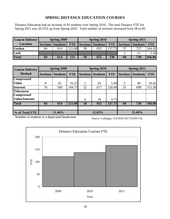# **SPRING DISTANCE EDUCATION COURSES**

Distance Education had an increase of 83 students over Spring 2010. The total Distance FTE for Spring 2011 was 20.51% up from Spring 2010. Total number of sections increased from 58 to 60.

| <b>Course Delivery</b> |    | <b>Spring 2009</b>  |            |    | Spring 2010       |            | Spring 2011 |                          |            |  |
|------------------------|----|---------------------|------------|----|-------------------|------------|-------------|--------------------------|------------|--|
| <b>Location</b>        |    | Sections   Students | <b>FTE</b> |    | Sections Students | <b>FTE</b> |             | <b>Sections Students</b> | <b>FTE</b> |  |
| Goshen                 | 84 | 614                 | 21.00      | 58 | 655               | 137.75     | 57          | 727                      | 164.42     |  |
| Lusk                   |    |                     |            |    |                   |            |             |                          | 1.58       |  |
| <b>Total</b>           | 84 | 614                 |            | 58 | 655               | 138        | 60          | 738                      | 166.00     |  |

| <b>Course Delivery</b> |                 | <b>Spring 2009</b> |            |                 | Spring 2010     |            | Spring 2011     |                 |            |  |
|------------------------|-----------------|--------------------|------------|-----------------|-----------------|------------|-----------------|-----------------|------------|--|
| <b>Method</b>          | <b>Sections</b> | <b>Students</b>    | <b>FTE</b> | <b>Sections</b> | <b>Students</b> | <b>FTE</b> | <b>Sections</b> | <b>Students</b> | <b>FTE</b> |  |
| <b>Compressed</b>      |                 |                    |            |                 |                 |            |                 |                 |            |  |
| <b>Video</b>           | 8               | 65                 | 16.25      | 2               | 20              | 5.00       | 5               | 40              | 10.42      |  |
| <b>Internet</b>        | 76              | 549                | 104.75     | 52              | 617             | 128.00     | 55              | 698             | 155.58     |  |
| <b>Telecourse</b>      |                 |                    |            |                 |                 |            |                 |                 |            |  |
| <b>Compressed</b>      |                 |                    |            |                 |                 |            |                 |                 |            |  |
| <b>Video/Internet</b>  |                 |                    |            | $\overline{4}$  | 18              | 4.75       |                 |                 |            |  |
| <b>Total</b>           | 84              | 614                | 121.00     | 58              | 655             | 137.75     | 60              | 738             | 166.00     |  |
|                        |                 |                    |            |                 |                 |            |                 |                 |            |  |
| % of Total FTE         |                 | 11.46%             |            |                 | 12.63%          |            | 15.49%          |                 |            |  |

Number of students is a duplicated headcount

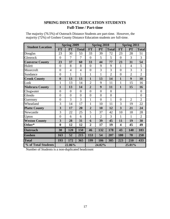# **SPRING DISTANCE EDUCATION STUDENTS Full-Time / Part-time**

|                         |                         | <b>Spring 2009</b> |                |                | Spring 2010    |                | Spring 2011             |                |                |  |
|-------------------------|-------------------------|--------------------|----------------|----------------|----------------|----------------|-------------------------|----------------|----------------|--|
| <b>Student Location</b> | <b>FT</b>               | PT                 | <b>Total</b>   | <b>FT</b>      | PT             | <b>Total</b>   | <b>FT</b>               | PT             | <b>Total</b>   |  |
| Douglas                 | 23                      | 30                 | 53             | 33             | 39             | 72             | 23                      | 28             | 51             |  |
| Glenrock                | $\overline{0}$          | 7                  | 7              | $\overline{0}$ | 5              | 5              | $\overline{0}$          | 3              | 3              |  |
| <b>Converse County</b>  | 23                      | 37                 | 60             | 33             | 44             | 77             | 23                      | 31             | 54             |  |
| Hulett                  | $\overline{0}$          | 8                  | 8              | $\overline{0}$ | 9              | 9              | $\mathbf{1}$            | $\overline{4}$ | 5              |  |
| Moorcroft               | $\overline{0}$          | $\overline{4}$     | $\overline{4}$ | $\overline{0}$ | 3              | 3              | $\overline{0}$          | 3              | 3              |  |
| Sundance                | $\overline{0}$          | 1                  | 1              | 1              | 1              | $\overline{2}$ | $\overline{0}$          | $\overline{2}$ | $\overline{2}$ |  |
| <b>Crook County</b>     | $\boldsymbol{0}$        | 13                 | 13             | 1              | 13             | 14             | $\mathbf{1}$            | 9              | 10             |  |
| Lusk                    | $\mathbf{1}$            | 13                 | 14             | $\overline{2}$ | 9              | 11             | 1                       | 15             | 16             |  |
| <b>Niobrara County</b>  | $\mathbf{1}$            | 13                 | 14             | $\overline{2}$ | 9              | 11             | $\mathbf{1}$            | 15             | 16             |  |
| Chugwater               | $\overline{0}$          | $\overline{0}$     | $\overline{0}$ | $\overline{0}$ | $\overline{0}$ | $\overline{0}$ |                         |                | $\overline{0}$ |  |
| Glendo                  | $\overline{0}$          | $\overline{0}$     | $\overline{0}$ | $\overline{0}$ | $\overline{0}$ | $\overline{0}$ |                         |                | $\overline{0}$ |  |
| Guernsey                | $\overline{0}$          | 3                  | 3              | 1              | $\overline{0}$ | 1              | $\overline{0}$          | $\overline{2}$ | $\overline{2}$ |  |
| Wheatland               | 3                       | 14                 | 17             | 1              | 10             | 11             | 3                       | 19             | 22             |  |
| <b>Platte County</b>    | $\overline{\mathbf{3}}$ | 17                 | 20             | $\overline{2}$ | 10             | 12             | $\overline{3}$          | 21             | 24             |  |
| Newcastle               | 3                       | 22                 | 25             | 5              | 37             | 42             | 10                      | 18             | 28             |  |
| Upton                   | $\overline{0}$          | 6                  | 6              | $\mathbf{1}$   | $\overline{2}$ | 3              | 1                       | 1              | $\overline{2}$ |  |
| <b>Weston County</b>    | $\overline{\mathbf{3}}$ | 28                 | 31             | 6              | 39             | 45             | 11                      | 19             | 30             |  |
| Other*                  | $\boldsymbol{0}$        | 12                 | 12             | $\overline{2}$ | 17             | 19             | $\overline{\mathbf{4}}$ | 45             | 49             |  |
| Outreach                | 30                      | 120                | 150            | 46             | 132            | 178            | 43                      | 140            | 183            |  |
| Goshen                  | 163                     | 52                 | 215            | 153            | 54             | 207            | 180                     | 70             | 250            |  |
| <b>Total</b>            | 193                     | 172                | 365            | 199            | 186            | 385            | 223                     | 210            | 433            |  |
| % of Total Students     |                         | 22.86%             |                |                | 24.02%         |                | 25.01%                  |                |                |  |

The majority (76.5%) of Outreach Distance Students are part-time. However, the majority (72%) of Goshen County Distance Education students are full-time.

Number of Students is a non-duplicated headcount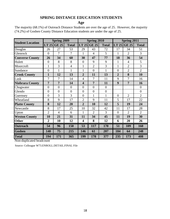# **SPRING DISTANCE EDUCATION STUDENTS**

**Age**

| The majority (68.1%) of Outreach Distance Students are over the age of 25. However, the majority |
|--------------------------------------------------------------------------------------------------|
| (74.2%) of Goshen County Distance Education students are under the age of 25.                    |

|                         |                | <b>Spring 2009</b> |                |                         | <b>Spring 2010</b> |                | Spring 2011    |                |                |  |
|-------------------------|----------------|--------------------|----------------|-------------------------|--------------------|----------------|----------------|----------------|----------------|--|
| <b>Student Location</b> | LT 25          | <b>GE 25</b>       | <b>Total</b>   |                         | LT $25$ GE $25$    | <b>Total</b>   | LT 25          | <b>GE 25</b>   | <b>Total</b>   |  |
| Douglas                 | 26             | 27                 | 53             | 29                      | 43                 | 72             | 17             | 34             | 51             |  |
| Glenrock                | $\overline{0}$ | 7                  | 7              | 1                       | $\overline{4}$     | 5              | 1              | $\overline{2}$ | 3              |  |
| <b>Converse County</b>  | 26             | 34                 | 60             | 30                      | 47                 | 77             | 18             | 36             | 54             |  |
| Hulett                  | $\overline{0}$ | 8                  | 8              | $\overline{0}$          | 9                  | 9              | $\mathbf{1}$   | $\overline{4}$ | 5              |  |
| Moorcroft               | $\mathbf{1}$   | 3                  | $\overline{4}$ | $\mathbf{1}$            | $\overline{2}$     | 3              | $\mathbf{1}$   | $\overline{2}$ | 3              |  |
| Sundance                | $\overline{0}$ | $\mathbf{1}$       | $\mathbf{1}$   | $\mathbf{1}$            | $\overline{0}$     | $\mathbf{1}$   | $\overline{0}$ | $\overline{2}$ | $\overline{2}$ |  |
| <b>Crook County</b>     | $\mathbf{1}$   | 12                 | 13             | $\overline{2}$          | 11                 | 13             | $\overline{2}$ | 8              | 10             |  |
| Lusk                    | $\overline{7}$ | 7                  | 14             | $\overline{4}$          | 7                  | 11             | 9              | 7              | 16             |  |
| <b>Niobrara County</b>  | $\overline{7}$ | 7                  | 14             | $\overline{\mathbf{4}}$ | 7                  | 11             | 9              | 7              | 16             |  |
| Chugwater               | $\overline{0}$ | $\overline{0}$     | $\overline{0}$ | $\theta$                | $\overline{0}$     | $\overline{0}$ |                |                | $\overline{0}$ |  |
| Glendo                  | $\overline{0}$ | $\overline{0}$     | $\overline{0}$ | $\theta$                | $\overline{0}$     | $\overline{0}$ |                |                | $\overline{0}$ |  |
| Guernsey                | $\overline{0}$ | 3                  | 3              | $\theta$                | 1                  | 1              | $\overline{0}$ | $\overline{2}$ | $\overline{2}$ |  |
| Wheatland               | 8              | 9                  | 17             | $\overline{2}$          | 9                  | 11             | 5              | 17             | 22             |  |
| <b>Platte County</b>    | 8              | 12                 | 20             | $\overline{2}$          | 10                 | 12             | 5              | 19             | 24             |  |
| Newcastle               | 8              | 17                 | 25             | 10                      | 32                 | 42             | 11             | 17             | 28             |  |
| Upton                   | $\overline{2}$ | $\overline{4}$     | 6              | $\mathbf{1}$            | $\overline{2}$     | 3              | $\overline{0}$ | $\overline{2}$ | $\overline{2}$ |  |
| <b>Weston County</b>    | 10             | 21                 | 31             | 11                      | 34                 | 45             | 11             | 19             | 30             |  |
| <b>Other</b>            | $\overline{2}$ | 10                 | 12             | $\overline{\mathbf{4}}$ | 8                  | 12             | 6              | 20             | 26             |  |
| <b>Outreach</b>         | 54             | 96                 | 150            | 53                      | 117                | 170            | 51             | 109            | 160            |  |
| <b>Goshen</b>           | 140            | 75                 | 215            | 146                     | 61                 | 207            | 184            | 64             | 248            |  |
| <b>Total</b>            | 194            | 171                | 365            | 199                     | 178                | 377            | 235            | 173            | 408            |  |

Non-duplicated headcount

Source: Colleague W73.ENROLL.DETAIL.FINAL File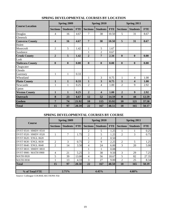| <b>Course Location</b> |                         | Spring 2009     |            |                 | Spring 2010     |            | Spring 2011      |                         |            |  |
|------------------------|-------------------------|-----------------|------------|-----------------|-----------------|------------|------------------|-------------------------|------------|--|
|                        | <b>Sections</b>         | <b>Students</b> | <b>FTE</b> | <b>Sections</b> | <b>Students</b> | <b>FTE</b> | <b>Sections</b>  | <b>Students</b>         | <b>FTE</b> |  |
| Douglas                | 4                       | 16              | 4.67       | 7               | 38              | 10.50      | 5                | 31                      | 8.67       |  |
| Glenrock               |                         |                 |            |                 |                 |            |                  |                         |            |  |
| <b>Converse County</b> | $\overline{\mathbf{4}}$ | <b>16</b>       | 4.67       | 7               | 38              | 10.50      | 5                | 31                      | 8.67       |  |
| Hulett                 |                         |                 |            |                 |                 |            |                  |                         |            |  |
| Moorcroft              | $\overline{2}$          | 5               | 1.42       | $\mathbf{1}$    | 5               | 1.67       |                  |                         |            |  |
| Sundance               |                         |                 |            |                 | 2               | 0.67       |                  |                         |            |  |
| <b>Crook County</b>    | $\overline{2}$          | 5               | 1.42       | $\overline{2}$  | 7               | 2.34       | $\mathbf{0}$     | $\boldsymbol{0}$        | 0.00       |  |
| Lusk                   |                         |                 |            |                 |                 |            |                  |                         |            |  |
| <b>Niobrara County</b> | $\mathbf{0}$            | $\mathbf{0}$    | 0.00       | $\mathbf{0}$    | $\mathbf{0}$    | 0.00       | $\boldsymbol{0}$ | $\mathbf{0}$            | 0.00       |  |
| Chugwater              |                         |                 |            |                 |                 |            |                  |                         |            |  |
| Glendo                 |                         |                 |            |                 |                 |            |                  |                         |            |  |
| Guernsey               | $\mathbf{1}$            | 1               | 0.33       |                 |                 |            |                  |                         |            |  |
| Wheatland              |                         |                 |            | 1               | 3               | 0.75       | $\mathbf{1}$     | $\overline{4}$          | 1.00       |  |
| <b>Platte County</b>   | $\mathbf{1}$            | $\mathbf{1}$    | 0.33       | 1               | 3               | 0.75       | $\mathbf{1}$     | $\overline{\mathbf{4}}$ | 1.00       |  |
| Newcastle              | 1                       | 1               | 0.25       | 2               | 4               | 1.00       | $\overline{2}$   | 9                       | 2.92       |  |
| Upton                  |                         |                 |            |                 |                 |            |                  |                         |            |  |
| <b>Weston County</b>   | $\mathbf{1}$            | $\mathbf{1}$    | 0.25       | $\overline{2}$  | 4               | 1.00       | $\overline{2}$   | 9                       | 2.92       |  |
| <b>Outreach</b>        | 8                       | 23              | 6.67       | 12              | 52              | 14.59      | 8                | 44                      | 12.59      |  |
| <b>Goshen</b>          | 7                       | 74              | 21.92      | 10              | 115             | 33.92      | 10               | 121                     | 37.58      |  |
| <b>Total</b>           | 15                      | 97              | 28.59      | 22              | 167             | 48.51      | 18               | 165                     | 50.17      |  |

## **SPRING DEVELOPMENTAL COURSES BY LOCATION**

### **SPRING DEVELOPMENTAL COURSES BY COURSE**

| <b>Course</b>         |                 | Spring 2009     |            |                 | Spring 2010     |            | Spring 2011     |                 |            |  |
|-----------------------|-----------------|-----------------|------------|-----------------|-----------------|------------|-----------------|-----------------|------------|--|
|                       | <b>Sections</b> | <b>Students</b> | <b>FTE</b> | <b>Sections</b> | <b>Students</b> | <b>FTE</b> | <b>Sections</b> | <b>Students</b> | <b>FTE</b> |  |
| DVST 0510 / HMDV 0510 |                 |                 |            | 2               | 5               | 1.25       |                 |                 | 0.25       |  |
| DVST 0520 / HMDV 0520 |                 | 7               | 1.75       | 2               | 5               | 1.25       | 2               | 3               | 0.75       |  |
| DVST 0620 / ENGL 0620 |                 |                 |            |                 | $\mathfrak{D}$  | 0.50       |                 |                 |            |  |
| DVST 0630 / ENGL 0630 | $\mathfrak{D}$  | 3               | 0.75       | 2               | 9               | 2.25       | 2               | 5               | 1.25       |  |
| DVST 0640 / ENGL 0640 | $\overline{c}$  | 14              | 3.50       | 4               | 24              | 6.00       | 3               | 20              | 5.00       |  |
| DVST 0810 / HMDV 0810 |                 |                 |            |                 |                 | 0.08       |                 |                 |            |  |
| DVST 0900 / MATH 0900 | 4               | 21              | 5.25       | 3               | 38              | 9.50       | 3               | 29              | 7.25       |  |
| <b>MATH 0920</b>      | 5               | 39              | 13.00      | 4               | 56              | 18.67      | 5               | 82              | 27.35      |  |
| <b>MATH 0930</b>      |                 | 13              | 4.33       | 3               | 27              | 9.00       | 2               | 25              | 8.34       |  |
| <b>Total</b>          | 15              | 97              | 28.58      | 22              | 167             | 48.50      | 18              | 165             | 50.19      |  |
| % of Total FTE        | 2.71%           |                 |            | 4.45%           |                 |            | 4.68%           |                 |            |  |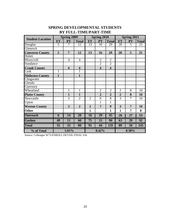|                         |                | <b>Spring 2009</b>      |                         |                | <b>Spring 2010</b>      |                         | <b>Spring 2011</b> |                 |                 |
|-------------------------|----------------|-------------------------|-------------------------|----------------|-------------------------|-------------------------|--------------------|-----------------|-----------------|
| <b>Student Location</b> | <b>FT</b>      | <b>PT</b>               | <b>Total</b>            | <b>FT</b>      | PT                      | <b>Total</b>            | <b>FT</b>          | PT              | <b>Total</b>    |
| Douglas                 | $\overline{5}$ | 7                       | 12                      | 13             | 16                      | 29                      | 20                 | $\overline{5}$  | 25              |
| <b>Glenrock</b>         |                |                         |                         |                |                         |                         |                    |                 |                 |
| <b>Converse County</b>  | 5              | $\overline{7}$          | 12                      | 13             | 16                      | 29                      | 20                 | 5               | 25              |
| Hulett                  |                |                         |                         |                |                         |                         |                    |                 |                 |
| Moorcroft               |                | $\overline{4}$          | $\overline{4}$          |                | $\overline{2}$          | $\overline{2}$          |                    |                 |                 |
| Sundance                |                |                         |                         |                | $\overline{2}$          | $\overline{2}$          |                    |                 |                 |
| <b>Crook County</b>     |                | $\overline{\mathbf{4}}$ | $\overline{\mathbf{4}}$ |                | $\overline{\mathbf{4}}$ | $\overline{\mathbf{4}}$ |                    |                 |                 |
| Lusk                    | $\mathbf{1}$   |                         | $\overline{1}$          |                |                         |                         |                    |                 |                 |
| <b>Niobrara County</b>  | 1              |                         | 1                       |                |                         |                         |                    |                 |                 |
| Chugwater               |                |                         |                         |                |                         |                         |                    |                 |                 |
| Glendo                  |                |                         |                         |                |                         |                         |                    |                 |                 |
| Guernsey                |                |                         |                         |                |                         |                         |                    |                 |                 |
| Wheatland               |                | $\mathbf{1}$            | $\mathbf{1}$            |                | $\overline{2}$          | $\overline{2}$          | $\overline{2}$     | $\overline{8}$  | $\overline{10}$ |
| <b>Platte County</b>    |                | $\mathbf{1}$            | $\mathbf{1}$            |                | $\overline{2}$          | $\overline{2}$          | $\overline{2}$     | 8               | 10              |
| Newcastle               |                | $\overline{2}$          | $\overline{2}$          | $\overline{2}$ | 6                       | 8                       | $\overline{3}$     | 7               | 10              |
| Upton                   |                |                         |                         |                | 1                       | 1                       |                    |                 |                 |
| <b>Weston County</b>    |                | $\overline{2}$          | $\overline{2}$          | $\overline{2}$ | $\overline{7}$          | 9                       | 3                  | $\overline{7}$  | 10              |
| <b>Other</b>            |                |                         |                         | $\mathbf{1}$   |                         | 1                       | $\mathbf{1}$       | $\overline{7}$  | 8               |
| <b>Outreach</b>         | 6              | 14                      | 20                      | 16             | $\overline{29}$         | 45                      | 26                 | 27              | 53              |
| <b>Goshen</b>           | 49             | 11                      | 60                      | 75             | 15                      | 90                      | 63                 | 29              | 92              |
| <b>Total</b>            | 55             | $\overline{25}$         | 80                      | 91             | 44                      | 135                     | 89                 | $\overline{56}$ | 145             |
| % of Total              |                | 5.01%                   |                         |                | 8.42%                   |                         | 8.38%              |                 |                 |

# **SPRING DEVELOPMENTAL STUDENTS BY FULL-TIME/PART-TIME**

Source: Colleague W73.ENROLL.DETAIL.FINAL File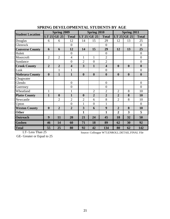|                         |                  | <b>Spring 2009</b> |                         |                  | <b>Spring 2010</b> |                         | Spring 2011      |                  |                  |  |
|-------------------------|------------------|--------------------|-------------------------|------------------|--------------------|-------------------------|------------------|------------------|------------------|--|
| <b>Student Location</b> | LT 25            | <b>GE 25</b>       | <b>Total</b>            |                  | LT $25$ GE $25$    | <b>Total</b>            | LT 25            | <b>GE 25</b>     | <b>Total</b>     |  |
| Douglas                 | 6                | 6                  | 12                      | 14               | 15                 | 29                      | 12               | 13               | 25               |  |
| Glenrock                |                  |                    | $\overline{0}$          |                  |                    | $\overline{0}$          |                  |                  | $\overline{0}$   |  |
| <b>Converse County</b>  | 6                | 6                  | 12                      | 14               | 15                 | 29                      | 12               | 13               | 25               |  |
| Hulett                  |                  |                    | $\overline{0}$          |                  |                    | $\overline{0}$          |                  |                  | $\overline{0}$   |  |
| Moorcroft               | $\overline{2}$   | $\overline{2}$     | $\overline{4}$          | $\mathbf{1}$     | $\mathbf{1}$       | $\overline{2}$          |                  |                  | $\overline{0}$   |  |
| Sundance                |                  |                    | $\overline{0}$          | $\overline{2}$   | $\overline{0}$     | $\overline{2}$          |                  |                  | $\boldsymbol{0}$ |  |
| <b>Crook County</b>     | $\overline{2}$   | $\overline{2}$     | $\overline{\mathbf{4}}$ | 3                | $\mathbf{1}$       | $\overline{\mathbf{4}}$ | $\boldsymbol{0}$ | $\boldsymbol{0}$ | $\boldsymbol{0}$ |  |
| Lusk                    |                  | $\mathbf{1}$       | $\mathbf{1}$            |                  |                    | $\overline{0}$          |                  |                  | $\boldsymbol{0}$ |  |
| <b>Niobrara County</b>  | $\boldsymbol{0}$ | $\mathbf{1}$       | $\mathbf{1}$            | $\boldsymbol{0}$ | $\boldsymbol{0}$   | $\boldsymbol{0}$        | $\boldsymbol{0}$ | $\boldsymbol{0}$ | $\boldsymbol{0}$ |  |
| Chugwater               |                  |                    |                         |                  |                    |                         |                  |                  |                  |  |
| Glendo                  |                  |                    | $\overline{0}$          |                  |                    | $\overline{0}$          |                  |                  | $\overline{0}$   |  |
| Guernsey                |                  |                    | $\overline{0}$          |                  |                    | $\overline{0}$          |                  |                  | $\overline{0}$   |  |
| Wheatland               | $\mathbf{1}$     |                    | $\mathbf{1}$            |                  | $\overline{2}$     | $\overline{2}$          | $\mathfrak{2}$   | 8                | 10               |  |
| <b>Platte County</b>    | $\mathbf{1}$     | $\boldsymbol{0}$   | $\mathbf{1}$            | $\boldsymbol{0}$ | $\overline{2}$     | $\overline{2}$          | $\overline{2}$   | 8                | 10               |  |
| Newcastle               |                  | $\overline{2}$     | $\overline{2}$          | $\overline{2}$   | 6                  | 8                       | $\overline{2}$   | 8                | 10               |  |
| Upton                   |                  |                    | $\overline{0}$          | 1                | $\overline{0}$     | $\mathbf{1}$            |                  |                  | $\overline{0}$   |  |
| <b>Weston County</b>    | $\boldsymbol{0}$ | $\overline{2}$     | $\overline{2}$          | 3                | 6                  | 9                       | $\overline{2}$   | 8                | 10               |  |
| <b>Other</b>            |                  |                    |                         | $\mathbf{1}$     |                    | $\mathbf{1}$            | $\overline{2}$   | 3                | 5                |  |
| <b>Outreach</b>         | 9                | 11                 | 20                      | 21               | 24                 | 45                      | 18               | 32               | 50               |  |
| <b>Goshen</b>           | 46               | 14                 | 60                      | 71               | 18                 | 89                      | 62               | 30               | 92               |  |
| <b>Total</b>            | 55               | 25                 | 80                      | 92               | 42                 | 134                     | 80               | 62               | 142              |  |

## **SPRING DEVELOPMENTAL STUDENTS BY AGE**

LT- Less Than 25

Source: Colleague W73.ENROLL.DETAIL.FINAL File

GE- Greater or Equal to 25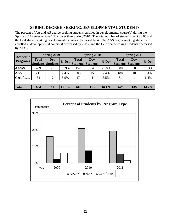## **SPRING DEGREE-SEEKING/DEVELOPMENTAL STUDENTS**

The percent of AA and AS degree-seeking students enrolled in developmental course(s) during the Spring 2011 semester was 1.5% lower than Spring 2010. The total number of students went up 65 and the total students taking developmental courses decreased by 4. The AAS degree-seeking students enrolled in developmental course(s) decreased by 2.1%, and the Certificate-seeking students decreased by 7.1% .

| <b>Academic</b>    |              | <b>Spring 2009</b>                     |       |              | Spring 2010                            |         | <b>Spring 2011</b> |                                 |         |  |
|--------------------|--------------|----------------------------------------|-------|--------------|----------------------------------------|---------|--------------------|---------------------------------|---------|--|
| <b>Programs</b>    | <b>Total</b> | <b>Dev</b><br><b>Students Students</b> | % Dev | <b>Total</b> | <b>Dev</b><br><b>Students Students</b> | $%$ Dev | <b>Total</b>       | Dev<br><b>Students Students</b> | $%$ Dev |  |
| <b>AA/AS</b>       | 439          | 70                                     | 15.9% | 452          | 94                                     | 20.8%   | 508                | 98                              | 19.3%   |  |
| <b>AAS</b>         | 211          | 5                                      | 2.4%  | 203          | 15                                     | 7.4%    | 188                | 10                              | 5.3%    |  |
| <b>Certificate</b> | 34           | 2                                      | 5.9%  | 47           | 4                                      | 8.5%    | 71                 |                                 | 1.4%    |  |
|                    |              |                                        |       |              |                                        |         |                    |                                 |         |  |
| <b>Total</b>       | 684          | 77                                     | 11.3% | 702          | 113                                    | 16.1%   | 767                | 109                             | 14.2%   |  |

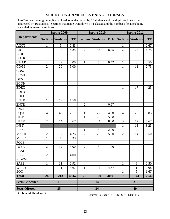## **SPRING ON-CAMPUS EVENING COURSES**

On-Campus Evening unduplicated headcount decreased by 18 students and the duplicated headcount decreased by 16 students. Sections that made went down by 1 classes and the number of classes being canceled increased 7 sections.

|                        |                | <b>Spring 2009</b>       |            |                 | Spring 2010     |            | Spring 2011    |                          |            |  |
|------------------------|----------------|--------------------------|------------|-----------------|-----------------|------------|----------------|--------------------------|------------|--|
| <b>Departments</b>     |                | <b>Sections Students</b> | <b>FTE</b> | <b>Sections</b> | <b>Students</b> | <b>FTE</b> |                | <b>Sections Students</b> | <b>FTE</b> |  |
| <b>ACCT</b>            | $\mathbf{1}$   | 5                        | 0.83       |                 |                 |            | 1              | 4                        | 0.67       |  |
| <b>ART</b>             | $\mathbf{1}$   | 17                       | 4.25       | $\overline{2}$  | 35              | 8.75       | $\overline{2}$ | 27                       | 6.75       |  |
| <b>BIOL</b>            |                |                          |            |                 |                 |            |                |                          |            |  |
| <b>BOTK</b>            |                |                          |            |                 |                 |            |                |                          |            |  |
| <b>CMAP</b>            | $\overline{4}$ | 29                       | 4.00       | $\mathbf{1}$    | 5               | 0.42       | $\mathbf{1}$   | 6                        | 0.50       |  |
| CO/M                   | $\overline{2}$ | 20                       | 5.00       |                 |                 |            | $\mathbf{1}$   | 11                       | 2.75       |  |
| <b>COSC</b>            |                |                          |            |                 |                 |            |                |                          |            |  |
| <b>CRMJ</b>            |                |                          |            |                 |                 |            |                |                          |            |  |
| <b>DVST</b>            |                |                          |            |                 |                 |            |                |                          |            |  |
| <b>ECON</b>            |                |                          |            |                 |                 |            |                |                          |            |  |
| <b>EDEX</b>            |                |                          |            |                 |                 |            | $\mathbf{1}$   | 17                       | 4.25       |  |
| <b>EDFD</b>            |                |                          |            |                 |                 |            |                |                          |            |  |
| <b>EDUC</b>            |                |                          |            |                 |                 |            |                |                          |            |  |
| <b>ENTK</b>            | $\mathbf{1}$   | 19                       | 1.58       |                 |                 |            |                |                          |            |  |
| <b>ENTR</b>            |                |                          |            | $\overline{2}$  | $\overline{4}$  | 0.67       |                |                          |            |  |
| <b>ENGL</b>            |                |                          |            |                 |                 |            |                |                          |            |  |
| <b>EQST</b>            | $\overline{4}$ | 43                       | 7.17       | 4               | 27              | 4.50       | $\overline{4}$ | 23                       | 3.83       |  |
| <b>HIST</b>            |                |                          |            | $\mathbf{1}$    | 20              | 5.00       |                |                          |            |  |
| <b>HLTK</b>            | $\overline{2}$ | 14                       | 4.67       | $\overline{4}$  | 24              | 8.00       | $\mathfrak{Z}$ | 17                       | 5.67       |  |
| <b>INST</b>            |                |                          |            |                 |                 |            | $\mathbf{1}$   | 13                       | 3.25       |  |
| <b>LIBS</b>            |                |                          |            | $\mathbf{1}$    | 8               | 2.00       |                |                          |            |  |
| <b>MATH</b>            | $\overline{2}$ | 17                       | 4.25       | $\overline{2}$  | 20              | 5.00       | $\mathbf{2}$   | 14                       | 3.50       |  |
| <b>MUSC</b>            | $\mathbf{1}$   | $\overline{4}$           | 0.33       |                 |                 |            |                |                          |            |  |
| <b>POLS</b>            |                |                          |            |                 |                 |            |                |                          |            |  |
| <b>PSYC</b>            | $\overline{2}$ | 12                       | 3.00       | $\overline{2}$  | 3               | 1.00       |                |                          |            |  |
| REAL<br>RELI           |                |                          |            |                 |                 |            |                |                          |            |  |
|                        | $\overline{2}$ | $\overline{16}$          | 4.00       |                 |                 |            |                |                          |            |  |
| <b>REWM</b>            |                |                          |            |                 |                 |            |                |                          |            |  |
| <b>SAFE</b>            | $\mathbf{1}$   | 11                       | 0.92       |                 |                 |            | $\mathbf{1}$   | 6                        | 0.50       |  |
| WELD                   | $\mathbf{1}$   | 11                       | 3.67       | $\mathbf{1}$    | 14              | 4.67       | $\mathbf{1}$   | $\mathbf{1}$             | 0.08       |  |
| ZOO                    |                |                          |            |                 |                 |            | $\mathbf{1}$   | $\overline{5}$           | 1.67       |  |
| <b>Total</b>           | 24             | 218                      | 43.67      | 20              | 160             | 40.01      | 19             | 144                      | 33.42      |  |
| <b>Sects Cancelled</b> |                | 11                       |            |                 | 14              |            |                | 21                       |            |  |
| <b>Sects Offered</b>   |                | 35                       |            |                 | 34              |            | 40             |                          |            |  |

Duplicated Headcount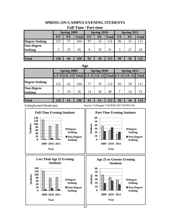# **SPRING ON-CAMPUS EVENING STUDENTS**

### **Full-Time / Part-time**

|                       | <b>Spring 2009</b> |           |              |           | Spring 2010 |              | Spring 2011 |    |              |
|-----------------------|--------------------|-----------|--------------|-----------|-------------|--------------|-------------|----|--------------|
|                       | <b>FT</b>          | <b>PT</b> | <b>Total</b> | <b>FT</b> | PT          | <b>Total</b> | <b>FT</b>   | PT | <b>Total</b> |
| <b>Degree Seeking</b> | 27                 | 37        | 164          | 87        | 25          | 112          | 96          | 15 | 11           |
| <b>Non-Degree</b>     |                    |           |              |           |             |              |             |    |              |
| <b>Seeking</b>        | 3                  | 23        | 26           | 8         | 33          | 41           | $\mathbf 3$ | 21 | 24           |
|                       |                    |           |              |           |             |              |             |    |              |
| <b>Total</b>          | 130                | 60        | 190          | 95        | 58          | 153          | 99          | 36 | 135          |

#### **Age**

|                                     |     | <b>Spring 2009</b>                                    |     |    | <b>Spring 2010</b> |     | Spring 2011 |    |     |  |
|-------------------------------------|-----|-------------------------------------------------------|-----|----|--------------------|-----|-------------|----|-----|--|
|                                     |     | LT 25 GE 25 Total LT 25 GE 25 Total LT 25 GE 25 Total |     |    |                    |     |             |    |     |  |
| <b>Degree Seeking</b>               | 122 | 42                                                    | 164 | 77 | 35                 | 112 | 83          | 28 |     |  |
| <b>Non-Degree</b><br><b>Seeking</b> |     | 19                                                    | 26  | 14 | 26                 | 40  | 7           | 16 | 23  |  |
| <b>Total</b>                        | 129 | 61                                                    | 190 | 91 | 61                 | 152 | 90          | 44 | 134 |  |

Unduplicated Headcount

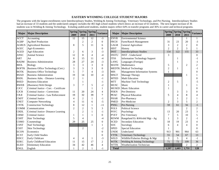#### **EASTERN WYOMING COLLEGE STUDENT MAJORS**

 The programs with the largest enrollments were Interdisciplinary Studies, Welding & Joining Technology, Veterinary Technology, and Pre-Nursing. Interdisciplinary Studies had an increase of 33 students and the undeclared category includes the 465 high school students which shows an increase of 63 students. The next largest increase of 36 students was in Welding & Joining Technology. Exluding undelcared students, student majors reflect 64% in transfer programs and 36% in career and techncal programs.

| <b>Major</b> | <b>Major Description</b>               | 2009           | Spring Spring Spring<br>2010 | 2011           | <b>Variance</b>  | <b>Major</b> | <b>Major Description</b>              | 2009           | Spring Spring Spring<br>2010 | 2011           | <b>Variance</b> |
|--------------|----------------------------------------|----------------|------------------------------|----------------|------------------|--------------|---------------------------------------|----------------|------------------------------|----------------|-----------------|
| <b>ACCT</b>  | Accounting                             | 12             | 15                           | 12             | $-3$             | <b>ENVR</b>  | <b>Environmental Science</b>          |                |                              | 1              | 1               |
| <b>AGBP</b>  | Ag Beef Production                     |                | $\overline{2}$               | $\overline{c}$ | $\mathbf{0}$     | <b>FRCH</b>  | Farm/Ranch Management                 | 31             | 23                           | 20             | $-3$            |
| <b>AGBUS</b> | <b>Agricultural Business</b>           | 8              | 5                            | 11             | 6                | <b>GAGR</b>  | General Agriculture                   | 3              | $\overline{c}$               | $\overline{2}$ | $\theta$        |
| <b>AGEC</b>  | Agri-Economics                         |                |                              |                | $\boldsymbol{0}$ | <b>HIST</b>  | History                               | $\overline{2}$ | $\overline{c}$               | 3              | 1               |
| <b>AGED</b>  | Agri-Education                         | 2              | 6                            | 3              | $-3$             | <b>INST</b>  | <b>Interdisciplinary Studies</b>      | 154            | 122                          | 155            | 33              |
| <b>ANSC</b>  | Animal Science                         | 12             | 8                            | 4              | -4               | <b>INSTU</b> | <b>INST</b> - Undeclared              | 3              |                              |                | $\overline{0}$  |
| <b>ART</b>   | Art                                    | 8              | 15                           | 11             | $-4$             | <b>ITSS</b>  | <b>Information Technology Support</b> |                | 1                            |                | -1              |
| <b>BADM</b>  | <b>Business Administration</b>         | 28             | 27                           | 24             | $-3$             | <b>LANG</b>  | Languages (Foreign)                   |                | 1                            |                | -1              |
| <b>BIOL</b>  | Biology                                | 3              | 3                            | 3              | $\boldsymbol{0}$ | <b>MATH</b>  | Mathematics                           | 5              |                              | $\overline{c}$ | $\overline{2}$  |
| <b>BOFTK</b> | Business Office Technology (Cert.)     | 3              | 3                            | 3              | $\boldsymbol{0}$ |              | <b>MEDTK</b> Medical Technology       | 2              | $\mathbf{1}$                 |                | - 1             |
| <b>BOTK</b>  | <b>Business Office Technology</b>      | 5              | $\overline{7}$               | 4              | $-3$             | <b>MIS</b>   | <b>Management Information Systems</b> |                |                              |                | $\Omega$        |
| <b>BSAD</b>  | <b>Business Administration</b>         | 19             | 14                           | 10             | $-4$             | <b>MSGT</b>  | Massage Therapy                       |                |                              |                |                 |
| <b>BSDL</b>  | Business Adm. - Distance Learning      | $\overline{2}$ |                              |                | $-1$             | <b>MTED</b>  | <b>Math Education</b>                 |                |                              |                | 0               |
| <b>BSED</b>  | <b>Business Education</b>              |                |                              |                | -1               | <b>MTT</b>   | Machine Tool Technology               | 2              | 5                            |                |                 |
| <b>BWEB</b>  | (Business) Web Design                  | 3              | $\overline{7}$               | 5              | $-2$             | <b>MUSC</b>  | Music                                 |                |                              |                |                 |
| <b>CJCC</b>  | Criminal Justice - Corr. - Certificate |                |                              | $\mathbf{1}$   | 1                | <b>MUSED</b> | <b>Music Education</b>                |                |                              |                | 0               |
| <b>CJCR</b>  | Criminal Justice - Corrections         | 11             | 20                           | 24             | 4                | <b>PDEN</b>  | Pre-Dentistry                         |                | 3                            | 3              |                 |
| <b>CJLE</b>  | Criminal Justice - Law Enforcement     | 19             | 32                           | 39             | 7                | <b>PEAC</b>  | <b>Physical Education</b>             | 5              | 4                            | 8              |                 |
| <b>CMJT</b>  | <b>Criminal Justice</b>                | $\overline{4}$ | $\overline{2}$               | 1              | -1               | <b>PHAR</b>  | Pre-Pharmacy                          |                |                              | $\overline{2}$ |                 |
| <b>CNET</b>  | <b>Computer Networking</b>             | 4              | 11                           | 6              | $-5$             | <b>PMED</b>  | Pre-Medicine                          | $\overline{c}$ | 3                            | 5              | $\overline{2}$  |
| <b>CNTK</b>  | <b>Construction Technology</b>         | 8              | 12                           | 1              | $-11$            | <b>PNSG</b>  | Pre-Nursing                           | 59             | 61                           | 56             | $-5$            |
| <b>COMM</b>  | Communication                          | $\overline{c}$ | $\overline{2}$               | 5              | 3                | <b>POLS</b>  | <b>Political Science</b>              |                |                              | $\overline{2}$ | $\overline{2}$  |
| <b>CRDL</b>  | Criminal Justice- Distance Learning    |                | $\overline{2}$               | 1              | $-1$             | <b>PSYC</b>  | Psychology                            | 13             | 20                           | 23             | 3               |
| <b>CRMJ</b>  | Criminal Justice                       |                |                              |                | $\boldsymbol{0}$ | <b>PVET</b>  | Pre-Veterinary                        |                | 5                            | 10             | 5               |
| <b>CSHT</b>  | Hair Technology                        | 5              | $\overline{4}$               |                | $-4$             | <b>REWM</b>  | Rangeland Ec & Wtrshd Mgt - Ag        |                | 3                            | $\mathfrak{2}$ | -1              |
| <b>CSMO</b>  | Cosmetology                            | 29             | 25                           | 25             | $\mathbf{0}$     | <b>SCED</b>  | Secondary Education                   | 18             | 19                           | 23             | 4               |
| <b>CSNT</b>  | Nail Technology                        |                |                              | 1              | 1                | <b>SOC</b>   | Sociology                             | 6              | $\overline{4}$               | $\overline{4}$ | 0               |
| <b>CSST</b>  | Skin Technology                        |                | $\overline{2}$               |                | $-2$             | <b>SPED</b>  | <b>Special Education</b>              |                |                              |                | $\theta$        |
| <b>ECON</b>  | Economics                              |                |                              |                | $\boldsymbol{0}$ | <b>UNDE</b>  | Undeclared                            | 913            | 901                          | 964            | 63              |
| <b>ECST</b>  | Early Child Studies                    |                |                              |                | $\mathbf{0}$     | <b>VTTK</b>  | Veterinary Technology                 | 55             | 54                           | 67             | 13              |
| <b>EDCC</b>  | Early Childcare                        | 4              | $\overline{4}$               | 1              | -3               | <b>WILD</b>  | Wildlife/Fisheries Biology & Mgt      | 3              | 5                            | $\overline{4}$ | $-1$            |
| <b>EDEC</b>  | Early Childhood Education              | 11             | 15                           | 17             | $\overline{2}$   | <b>WJTK</b>  | Welding & Joining Technology          | 71             | 73                           | 109            | 36              |
| <b>ELED</b>  | <b>Elementary Education</b>            | 34             | 42                           | 46             | 4                | <b>WTTK</b>  | <b>Weatherization Technician</b>      |                |                              | $\overline{2}$ | $\overline{2}$  |
| <b>ENGL</b>  | English                                |                | $\mathfrak{2}$               | 1              | $-1$             | <b>Total</b> |                                       | 1,597          | 1,603                        | 1,731          | 128             |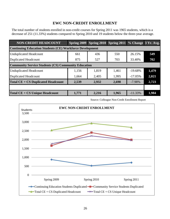## **EWC NON-CREDIT ENROLLMENT**

The total number of students enrolled in non-credit courses for Spring 2011 was 1965 students, which is a decrease of 251 (11.33%) students compared to Spring 2010 and 19 students below the three-year average.

| <b>NON-CREDIT HEADCOUNT</b>                                     |       | Spring 2009 Spring 2010 Spring 2011 % Change 3 Yr. Avg. |       |            |       |  |  |  |  |  |  |
|-----------------------------------------------------------------|-------|---------------------------------------------------------|-------|------------|-------|--|--|--|--|--|--|
| <b>Continuing Education Students (CE) Workforce Development</b> |       |                                                         |       |            |       |  |  |  |  |  |  |
| <b>Unduplicated Headcount</b>                                   | 661   | 436                                                     | 550   | 26.15%     | 549   |  |  |  |  |  |  |
| <b>Duplicated Headcount</b>                                     | 875   | 527                                                     | 703   | 33.40%     | 702   |  |  |  |  |  |  |
| <b>Community Service Students (CS) Community Education</b>      |       |                                                         |       |            |       |  |  |  |  |  |  |
| <b>Unduplicated Headcount</b>                                   | 1,156 | 1,819                                                   | 1,461 | $-19.68%$  | 1,479 |  |  |  |  |  |  |
| <b>Duplicated Headcount</b>                                     | 1,664 | 2,405                                                   | 1,995 | $-17.05\%$ | 2,021 |  |  |  |  |  |  |
| <b>Total CE + CS Duplicated Headcount</b>                       | 2,539 | 2,932                                                   | 2,698 | $-7.98%$   | 2,723 |  |  |  |  |  |  |
|                                                                 |       |                                                         |       |            |       |  |  |  |  |  |  |
| Total CE + CS Unique Headcount                                  | 1,771 | 2,216                                                   | 1,965 | $-11.33%$  | 1,984 |  |  |  |  |  |  |

Source: Colleague Non-Credit Enrollment Report

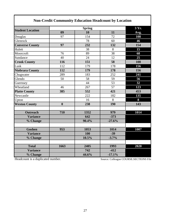|                         |                  |                     | <b>Non-Credit Community Education Headcount by Location</b> |      |  |  |  |  |  |  |  |  |  |
|-------------------------|------------------|---------------------|-------------------------------------------------------------|------|--|--|--|--|--|--|--|--|--|
|                         |                  | 3 Yr.               |                                                             |      |  |  |  |  |  |  |  |  |  |
| <b>Student Location</b> | 09               | <b>Spring</b><br>10 | 11                                                          | Avg. |  |  |  |  |  |  |  |  |  |
| Douglas                 | 97               | 154                 | 72                                                          | 108  |  |  |  |  |  |  |  |  |  |
| Glenrock                |                  | 78                  | 60                                                          | 46   |  |  |  |  |  |  |  |  |  |
| <b>Converse County</b>  | 97               | 232                 | 132                                                         | 154  |  |  |  |  |  |  |  |  |  |
| Hulett                  |                  | 38                  | 8                                                           | 15   |  |  |  |  |  |  |  |  |  |
| Moorcroft               | 76               | 89                  | 38                                                          | 68   |  |  |  |  |  |  |  |  |  |
| Sundance                | 40               | 24                  | 12                                                          | 25   |  |  |  |  |  |  |  |  |  |
| <b>Crook County</b>     | 116              | 151                 | 58                                                          | 108  |  |  |  |  |  |  |  |  |  |
| Lusk                    | 112              | 179                 | 178                                                         | 156  |  |  |  |  |  |  |  |  |  |
| <b>Niobrara County</b>  | 112              | 179                 | 178                                                         | 156  |  |  |  |  |  |  |  |  |  |
| Chugwater               | 289              | 183                 | 252                                                         | 241  |  |  |  |  |  |  |  |  |  |
| Glendo                  | 50               | 58                  | 59                                                          | 56   |  |  |  |  |  |  |  |  |  |
| Guernsey                |                  | 44                  | 53                                                          | 32   |  |  |  |  |  |  |  |  |  |
| Wheatland               | 46               | 267                 | 57                                                          | 123  |  |  |  |  |  |  |  |  |  |
| <b>Platte County</b>    | 385              | 552                 | 421                                                         | 453  |  |  |  |  |  |  |  |  |  |
| Newcastle               |                  | 222                 | 182                                                         | 135  |  |  |  |  |  |  |  |  |  |
| Upton                   |                  | 16                  | 8                                                           | 8    |  |  |  |  |  |  |  |  |  |
| <b>Weston County</b>    | $\boldsymbol{0}$ | 238                 | 190                                                         | 143  |  |  |  |  |  |  |  |  |  |
|                         |                  |                     |                                                             |      |  |  |  |  |  |  |  |  |  |
| <b>Outreach</b>         | 710              | 1352                | 979                                                         | 1014 |  |  |  |  |  |  |  |  |  |
| <b>Variance</b>         |                  | 642                 | $-373$                                                      |      |  |  |  |  |  |  |  |  |  |
| % Change                |                  | 90.4%               | $-27.6%$                                                    |      |  |  |  |  |  |  |  |  |  |
|                         |                  |                     |                                                             |      |  |  |  |  |  |  |  |  |  |
| <b>Goshen</b>           | 953              | 1053                | 1014                                                        | 1007 |  |  |  |  |  |  |  |  |  |
| <b>Variance</b>         |                  | 100                 | $-39$                                                       |      |  |  |  |  |  |  |  |  |  |
| % Change                |                  | 10.5%               | $-3.7%$                                                     |      |  |  |  |  |  |  |  |  |  |
| <b>Total</b>            | 1663             | 2405                | 1993                                                        | 2020 |  |  |  |  |  |  |  |  |  |
| <b>Variance</b>         |                  | $\overline{742}$    | $-412$                                                      |      |  |  |  |  |  |  |  |  |  |
| % Change                |                  | 44.6%               | $-17.1%$                                                    |      |  |  |  |  |  |  |  |  |  |

Headcount is a duplicated number.

Г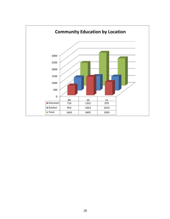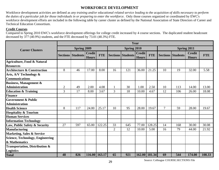## **WORKFORCE DEVELOPMENT**

Workforce development activities are defined as *any training and/or educational related service leading to the acquisition of skills necessary to perform the duties of a particular job for those individuals in or preparing to enter the workforce*. Only those courses organized or coordinated by EWC's workforce development efforts are included in the following table by career cluster as defined by the National Association of State Directors of Career and Technical Education Consortium.

#### **Credit Courses**

Compared to Spring 2010 EWC's workforce development offerings for college credit increased by 4 course sections. The duplicated student headcount decreased by 377 (40.9%) students, and the FTE decreased by 73.01 (40.3%) FTE.

|                                                            | Year           |                          |                               |               |                |                          |                               |               |                |                          |                               |            |
|------------------------------------------------------------|----------------|--------------------------|-------------------------------|---------------|----------------|--------------------------|-------------------------------|---------------|----------------|--------------------------|-------------------------------|------------|
| <b>Career Clusters</b>                                     |                | <b>Spring 2009</b>       |                               |               |                | Spring 2010              |                               |               |                | Spring 2011              |                               |            |
|                                                            |                | <b>Sections Students</b> | <b>Credit</b><br><b>Hours</b> | <b>FTE</b>    |                | <b>Sections Students</b> | <b>Credit</b><br><b>Hours</b> | <b>FTE</b>    |                | <b>Sections Students</b> | <b>Credit</b><br><b>Hours</b> | <b>FTE</b> |
| <b>Agriculture, Food &amp; Natural</b><br><b>Resources</b> |                |                          |                               |               |                |                          |                               |               |                |                          |                               |            |
| <b>Architecture &amp; Construction</b>                     | 8              | 46                       | 17.00                         | 8.00          | 16             | 121                      | 36.00                         | 21.25         | 10             | 19                       | 32.00                         | 5.58       |
| Arts, A/V Technology &<br><b>Communications</b>            |                |                          |                               |               |                |                          |                               |               |                |                          |                               |            |
| <b>Business, Management &amp;</b><br><b>Administration</b> | $\overline{2}$ | 49                       | 2.00                          | 4.08          |                | 30                       | 1.00                          | 2.50          | 10             | 113                      | 14.00                         | 13.00      |
| <b>Education &amp; Training</b>                            | 3              | 17                       | 8.00                          | 3.67          | $\overline{3}$ | 18                       | 10.00                         | 4.67          | 12             | 106                      | 26.00                         | 18.08      |
| <b>Finance</b>                                             |                |                          |                               |               |                |                          |                               |               |                |                          |                               |            |
| <b>Government &amp; Public</b>                             |                |                          |                               |               |                |                          |                               |               |                |                          |                               |            |
| <b>Administration</b>                                      |                |                          |                               |               |                |                          |                               |               |                |                          |                               |            |
| <b>Health Science</b>                                      | 8              | 117                      | 24.00                         | 25.17         | 10             | 95                       | 28.00                         | 19.67         | $\overline{7}$ | 59                       | 28.00                         | 19.67      |
| <b>Hospitality &amp; Tourism</b>                           |                |                          |                               |               |                |                          |                               |               |                |                          |                               |            |
| <b>Human Services</b>                                      |                |                          |                               |               |                |                          |                               |               |                |                          |                               |            |
| <b>Information Technology</b>                              |                |                          |                               |               |                |                          |                               |               |                |                          |                               |            |
| Law, Public Safety & Security                              | 27             | 597                      | 65.00                         | 122.25        | 33             | 645                      | 77.00                         | 128.25        | 14             | 168                      | 30.00                         | 30.08      |
| <b>Manufacturing</b>                                       |                |                          |                               |               | $\overline{2}$ | 12                       | 10.00                         | 5.00          | 16             | 79                       | 44.00                         | 21.92      |
| <b>Marketing, Sales &amp; Service</b>                      |                |                          |                               |               |                |                          |                               |               |                |                          |                               |            |
| Science, Technology, Engineering                           |                |                          |                               |               |                |                          |                               |               |                |                          |                               |            |
| & Mathematics                                              |                |                          |                               |               |                |                          |                               |               |                |                          |                               |            |
| Transportation, Distribution &<br><b>Logistics</b>         |                |                          |                               |               |                |                          |                               |               |                |                          |                               |            |
| <b>Total</b>                                               | 48             | 826                      |                               | 116.00 163.17 | 65             | 921                      |                               | 162.00 181.34 | 69             | 544                      | 174.00                        | 108.33     |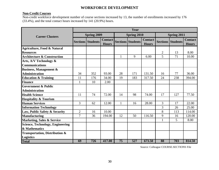## **WORKFORCE DEVELOPMENT**

#### **Non-Credit Courses**

Non-credit workforce development number of course sections increased by 13, the number of enrollments increased by 176 (33.4%), and the total contact hours increased by 141 (20.9%) hours.

|                                           | Year           |                          |                                |              |                          |                                |                |                          |                                |  |  |
|-------------------------------------------|----------------|--------------------------|--------------------------------|--------------|--------------------------|--------------------------------|----------------|--------------------------|--------------------------------|--|--|
| <b>Career Clusters</b>                    |                | <b>Spring 2009</b>       |                                |              | Spring 2010              |                                | Spring 2011    |                          |                                |  |  |
|                                           |                | <b>Sections Students</b> | <b>Contact</b><br><b>Hours</b> |              | <b>Sections Students</b> | <b>Contact</b><br><b>Hours</b> |                | <b>Sections Students</b> | <b>Contact</b><br><b>Hours</b> |  |  |
| <b>Agriculture, Food &amp; Natural</b>    |                |                          |                                |              |                          |                                |                |                          |                                |  |  |
| <b>Resources</b>                          |                |                          |                                |              |                          |                                | $\overline{2}$ | 13                       | 8.00                           |  |  |
| <b>Architecture &amp; Construction</b>    |                |                          |                                | $\mathbf{1}$ | 9                        | 6.00                           | 5              | 71                       | 10.00                          |  |  |
| Arts, A/V Technology &                    |                |                          |                                |              |                          |                                |                |                          |                                |  |  |
| <b>Communications</b>                     |                |                          |                                |              |                          |                                |                |                          |                                |  |  |
| <b>Business, Management &amp;</b>         |                |                          |                                |              |                          |                                |                |                          |                                |  |  |
| <b>Administration</b>                     | 34             | 352                      | 93.00                          | 28           | 171                      | 131.50                         | 16             | 77                       | 36.00                          |  |  |
| <b>Education &amp; Training</b>           | 11             | 176                      | 34.00                          | 19           | 183                      | 317.50                         | 24             | 238                      | 394.00                         |  |  |
| <b>Finance</b>                            | 1              | 10                       | 2.00                           |              |                          |                                |                |                          |                                |  |  |
| <b>Government &amp; Public</b>            |                |                          |                                |              |                          |                                |                |                          |                                |  |  |
| <b>Administration</b>                     |                |                          |                                |              |                          |                                |                |                          |                                |  |  |
| <b>Health Science</b>                     | 11             | 74                       | 72.00                          | 14           | 98                       | 74.00                          | 17             | 127                      | 77.50                          |  |  |
| <b>Hospitality &amp; Tourism</b>          |                |                          |                                |              |                          |                                |                |                          |                                |  |  |
| <b>Human Services</b>                     | 3              | 62                       | 12.00                          | $\mathbf{1}$ | 16                       | 28.00                          | $\overline{3}$ | 17                       | 22.00                          |  |  |
| <b>Information Technology</b>             |                |                          |                                |              |                          |                                | 3              | 26                       | 25.00                          |  |  |
| Law, Public Safety & Security             | $\overline{2}$ | 16                       | 10.00                          |              |                          |                                | 8              | 113                      | 114.00                         |  |  |
| <b>Manufacturing</b>                      | $\overline{7}$ | 36                       | 194.00                         | 12           | 50                       | 116.50                         | 9              | 16                       | 120.00                         |  |  |
| <b>Marketing, Sales &amp; Service</b>     |                |                          |                                |              |                          |                                | $\mathbf{1}$   | 5                        | 8.00                           |  |  |
| <b>Science, Technology, Engineering</b>   |                |                          |                                |              |                          |                                |                |                          |                                |  |  |
| & Mathematics                             |                |                          |                                |              |                          |                                |                |                          |                                |  |  |
| <b>Transportation, Distribution &amp;</b> |                |                          |                                |              |                          |                                |                |                          |                                |  |  |
| <b>Logistics</b>                          |                |                          |                                |              |                          |                                |                |                          |                                |  |  |
| <b>Total</b>                              | 69             | 726                      | 417.00                         | 75           | 527                      | 673.50                         | 88             | 703                      | 814.50                         |  |  |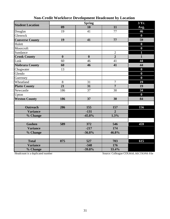| <b>Student Location</b> |                | $3 \overline{\text{Yr}}$ . |                |                  |
|-------------------------|----------------|----------------------------|----------------|------------------|
|                         | 09             | 10                         | 11             | Avg.             |
| Douglas                 | 19             | 41                         | 77             | 46               |
| Glenrock                |                |                            |                | $\boldsymbol{0}$ |
| <b>Converse County</b>  | 19             | 41                         | 77             | 59               |
| Hulett                  |                |                            |                | $\boldsymbol{0}$ |
| Moorcroft               |                |                            |                | $\bf{0}$         |
| Sundance                |                |                            | $\mathbf{2}$   | $\mathbf{1}$     |
| <b>Crook County</b>     | $\bf{0}$       | $\boldsymbol{0}$           | $\overline{2}$ | $\mathbf{1}$     |
| Lusk                    | 60             | 46                         | 41             | 44               |
| Niobrara County         | 60             | 46                         | 41             | 44               |
| Chugwater               | 13             |                            |                | $\bf{0}$         |
| Glendo                  |                |                            |                | $\boldsymbol{0}$ |
| Guernsey                |                |                            |                | $\bf{0}$         |
| Wheatland               | $\overline{8}$ | 31                         | $\overline{7}$ | 19               |
| <b>Platte County</b>    | 21             | 31                         | $\overline{7}$ | 19               |
| Newcastle               | 186            | 37                         | 30             | 34               |
| Upton                   |                |                            |                | $\bf{0}$         |
| <b>Weston County</b>    | 186            | 37                         | 30             | 84               |
|                         |                |                            |                |                  |
| <b>Outreach</b>         | 286            | 155                        | 157            | 156              |
| <b>Variance</b>         |                | $-131$                     | $\overline{2}$ |                  |
| % Change                |                | $-45.8%$                   | 1.3%           |                  |
|                         |                |                            |                |                  |
| <b>Goshen</b>           | 589            | 372                        | 546            | 459              |
| <b>Variance</b>         |                | $-217$                     | 174            |                  |
| % Change                |                | $-36.8%$                   | 46.8%          |                  |
|                         |                |                            |                |                  |
| <b>Total</b>            | 875            | 527                        | 703            | 615              |
| <b>Variance</b>         |                | $-348$                     | 176            |                  |
| % Change                |                | $-39.8%$                   | 33.4%          |                  |

# **Non-Credit Workforce Development Headcount by Location**

Headcount is a duplicated number